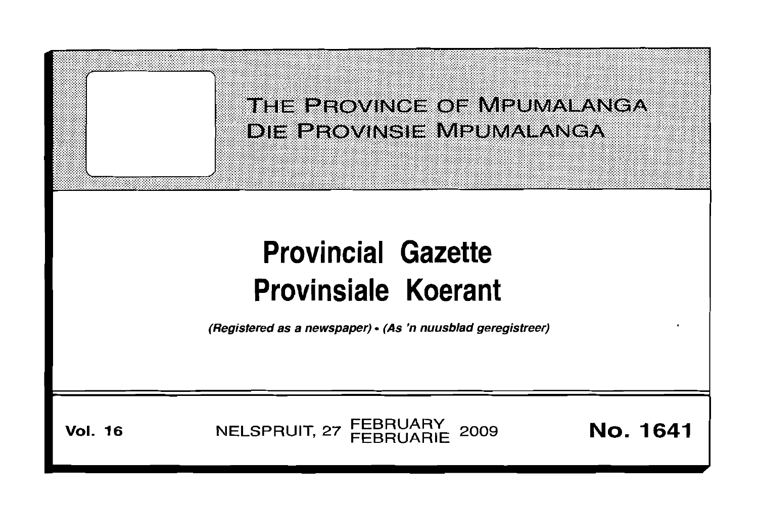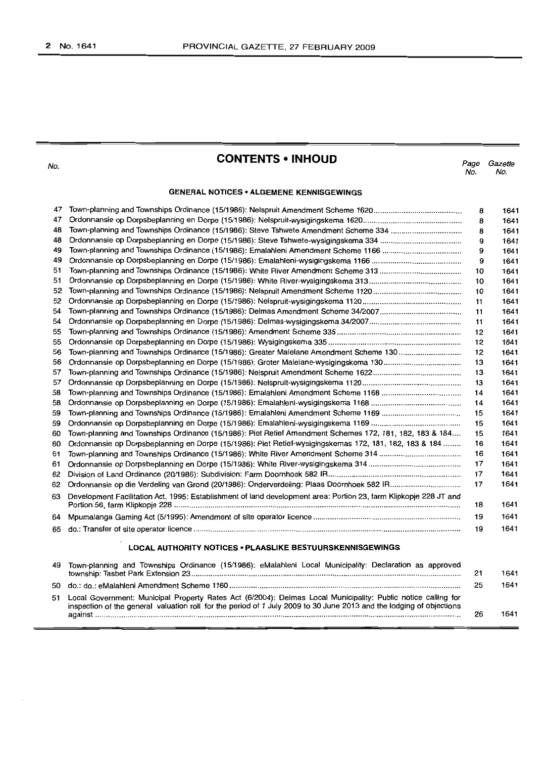No.

# **CONTENTS • INHOUD**

Page Gazette<br>No. No. No. No.

## **GENERAL NOTICES· ALGEMENE KENNISGEWINGS**

| 47 |                                                                                                                   | 8  | 1641 |
|----|-------------------------------------------------------------------------------------------------------------------|----|------|
| 47 |                                                                                                                   | 8  | 1641 |
| 48 | Town-planning and Townships Ordinance (15/1986): Steve Tshwete Amendment Scheme 334                               | 8  | 1641 |
| 48 |                                                                                                                   | 9  | 1641 |
| 49 |                                                                                                                   | 9  | 1641 |
| 49 |                                                                                                                   | 9  | 1641 |
| 51 |                                                                                                                   | 10 | 1641 |
| 51 |                                                                                                                   | 10 | 1641 |
| 52 |                                                                                                                   | 10 | 1641 |
| 52 |                                                                                                                   | 11 | 1641 |
| 54 |                                                                                                                   | 11 | 1641 |
| 54 |                                                                                                                   | 11 | 1641 |
| 55 |                                                                                                                   | 12 | 1641 |
| 55 |                                                                                                                   | 12 | 1641 |
| 56 | Town-planning and Townships Ordinance (15/1986): Greater Malelane Amendment Scheme 130                            | 12 | 1641 |
| 56 |                                                                                                                   | 13 | 1641 |
| 57 |                                                                                                                   | 13 | 1641 |
| 57 |                                                                                                                   | 13 | 1641 |
| 58 |                                                                                                                   | 14 | 1641 |
| 58 |                                                                                                                   | 14 | 1641 |
| 59 |                                                                                                                   | 15 | 1641 |
| 59 |                                                                                                                   | 15 | 1641 |
| 60 | Town-planning and Townships Ordinance (15/1986): Piet Retief Amendment Schemes 172, 181, 182, 183 & 184           | 15 | 1641 |
| 60 | Ordonnansie op Dorpsbeplanning en Dorpe (15/1986): Piet Retief-wysigingskemas 172, 181, 182, 183 & 184            | 16 | 1641 |
| 61 |                                                                                                                   | 16 | 1641 |
| 61 |                                                                                                                   | 17 | 1641 |
| 62 |                                                                                                                   | 17 | 1641 |
| 62 |                                                                                                                   | 17 | 1641 |
| 63 | Development Facilitation Act, 1995: Establishment of land development area: Portion 23, farm Klipkopje 228 JT and | 18 | 1641 |
| 64 |                                                                                                                   | 19 | 1641 |
| 65 |                                                                                                                   | 19 | 1641 |
|    | LOCAL AUTHORITY NOTICES . PLAASLIKE BESTUURSKENNISGEWINGS                                                         |    |      |
| 49 | Town-planning and Townships Ordinance (15/1986): eMalahleni Local Municipality: Declaration as approved           |    |      |
|    |                                                                                                                   | 21 | 1641 |
| 50 |                                                                                                                   | 25 | 1641 |

51 Local Government: Municipal Property Rates Act (6/2004): Delmas Local Municipality: Public notice calling for inspection of the general valuation roll for the period of 1 July 2009 to 30 June 2013 and the lodging of objections against 26 1641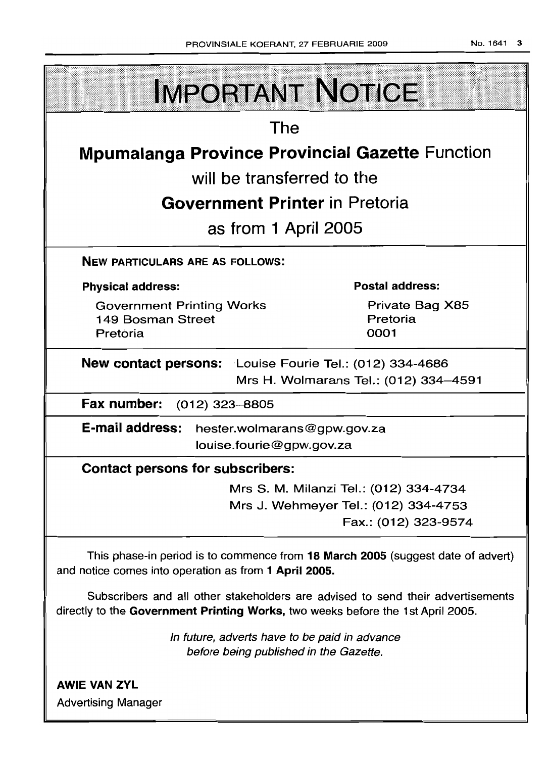| <b>IMPORTANT NOTICE</b>                                                                                                                  |                                                                                                        |  |  |  |
|------------------------------------------------------------------------------------------------------------------------------------------|--------------------------------------------------------------------------------------------------------|--|--|--|
| The                                                                                                                                      |                                                                                                        |  |  |  |
| <b>Mpumalanga Province Provincial Gazette Function</b>                                                                                   |                                                                                                        |  |  |  |
| will be transferred to the                                                                                                               |                                                                                                        |  |  |  |
| <b>Government Printer</b> in Pretoria                                                                                                    |                                                                                                        |  |  |  |
| as from 1 April 2005                                                                                                                     |                                                                                                        |  |  |  |
| <b>NEW PARTICULARS ARE AS FOLLOWS:</b>                                                                                                   |                                                                                                        |  |  |  |
| <b>Physical address:</b>                                                                                                                 | <b>Postal address:</b>                                                                                 |  |  |  |
| <b>Government Printing Works</b><br>149 Bosman Street<br>Pretoria                                                                        | Private Bag X85<br>Pretoria<br>0001                                                                    |  |  |  |
| New contact persons: Louise Fourie Tel.: (012) 334-4686<br>Mrs H. Wolmarans Tel.: (012) 334-4591                                         |                                                                                                        |  |  |  |
| Fax number: (012) 323-8805                                                                                                               |                                                                                                        |  |  |  |
| E-mail address:<br>hester.wolmarans@gpw.gov.za<br>louise.fourie@gpw.gov.za                                                               |                                                                                                        |  |  |  |
| <b>Contact persons for subscribers:</b>                                                                                                  |                                                                                                        |  |  |  |
|                                                                                                                                          | Mrs S. M. Milanzi Tel.: (012) 334-4734<br>Mrs J. Wehmeyer Tel.: (012) 334-4753<br>Fax.: (012) 323-9574 |  |  |  |
| This phase-in period is to commence from 18 March 2005 (suggest date of advert)<br>and notice comes into operation as from 1 April 2005. |                                                                                                        |  |  |  |
| directly to the Government Printing Works, two weeks before the 1st April 2005.                                                          | Subscribers and all other stakeholders are advised to send their advertisements                        |  |  |  |

In future, adverts have to be paid in advance before being published in the Gazette.

**AWIE VAN ZYL** Advertising Manager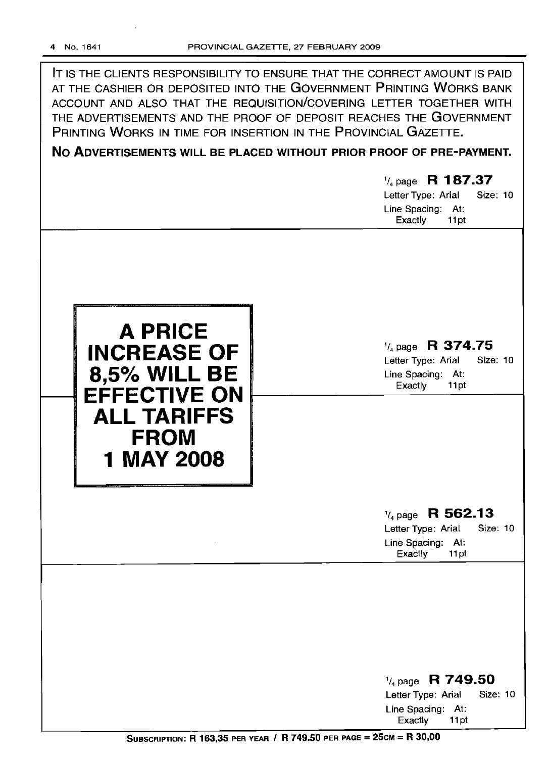IT IS THE CLIENTS RESPONSIBILITY TO ENSURE THAT THE CORRECT AMOUNT IS PAID AT THE CASHIER OR DEPOSITED INTO THE GOVERNMENT PRINTING WORKS BANK ACCOUNT AND ALSO THAT THE REQUISITION/COVERING LETTER TOGETHER WITH THE ADVERTISEMENTS AND THE PROOF OF DEPOSIT REACHES THE GOVERNMENT PRINTING WORKS IN TIME FOR INSERTION IN THE PROVINCIAL GAZETTE.

**No ADVERTISEMENTS WILL BE PLACED WITHOUT PRIOR PROOF OF PRE-PAYMENT.**

# 1/4 page R **1 87.37** Letter Type: Arial Size: 10 Line Spacing: At: Exactly 11 pt **A PRICE INCREASE OF 8,5% WILL BE EFFECTIVE ON ALL TARIFFS FROM 1 MAY 2008** 1/4 page **R 374.75** Letter Type: Arial Size: 10 Line Spacing: At: Exactly 11pt 1/4 page **R 562.13** Letter Type: Arial Size: 10 Line Spacing: At: Exactly 11 pt

1/4 page **R 749.50** Letter Type: Arial Size: 10 Line Spacing: At: Exactly 11pt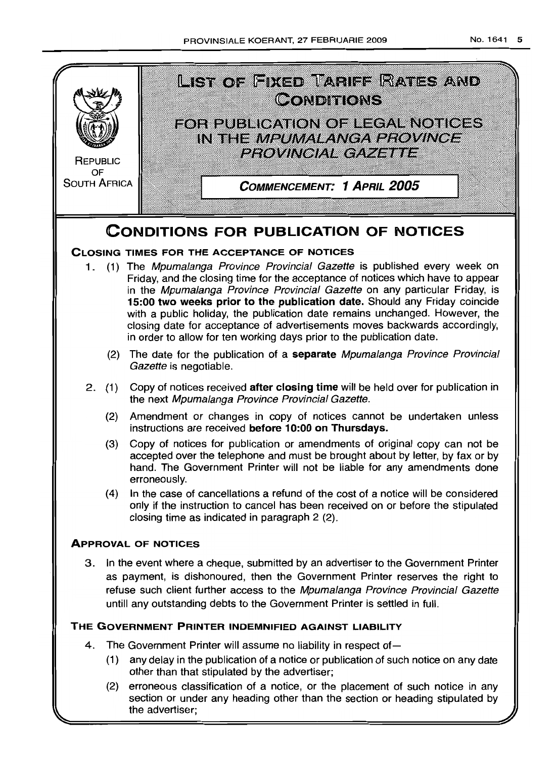

the advertiser;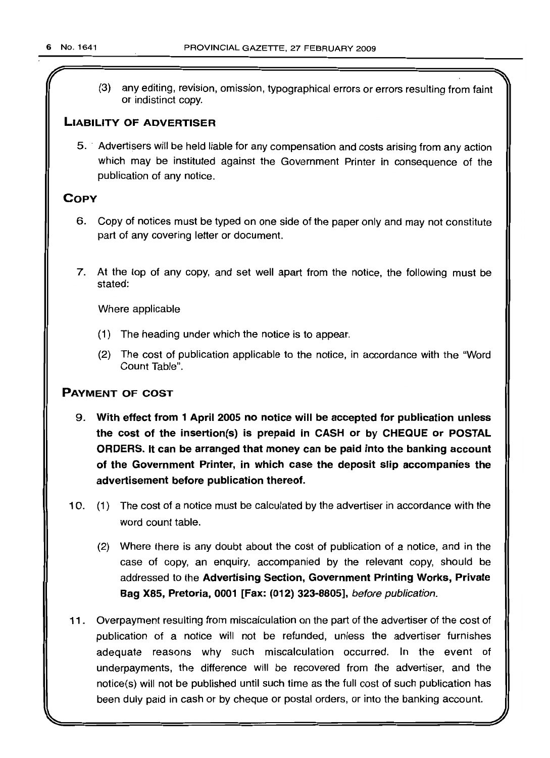r

(3) any editing, revision, omission, typographical errors or errors resulting from faint or indistinct copy.

## LIABILITY OF ADVERTISER

5 .. Advertisers will be held liable for any compensation and costs arising from any action which may be instituted against the Government Printer in consequence of the publication of any notice.

## **COPY**

- 6. Copy of notices must be typed on one side of the paper only and may not constitute part of any covering letter or document.
- 7. At the top of any copy, and set well apart from the notice, the following must be stated:

Where applicable

- (1) The heading under which the notice is to appear.
- (2) The cost of publication applicable to the notice, in accordance with the "Word Count Table".

## PAYMENT OF COST

- 9. With effect from 1 April 2005 no notice will be accepted for publication unless the cost of the insertion(s) is prepaid in CASH or by CHEQUE or POSTAL ORDERS. It can be arranged that money can be paid into the banking account of the Government Printer, in which case the deposit slip accompanies the advertisement before publication thereof.
- 10. (1) The cost of a notice must be calculated by the advertiser in accordance with the word count table.
	- (2) Where there is any doubt about the cost of publication of a notice, and in the case of copy, an enquiry, accompanied by the relevant copy, should be addressed to the Advertising Section, Government Printing Works, Private Bag X85, Pretoria, 0001 [Fax: (012) 323-8805], before publication.
- 11 . Overpayment resulting from miscalculation on the part of the advertiser of the cost of publication of a notice will not be refunded, unless the advertiser furnishes adequate reasons why such miscalculation occurred. In the event of underpayments, the difference will be recovered from the advertiser, and the notice(s) will not be published until such time as the full cost of such publication has been duly paid in cash or by cheque or postal orders, or into the banking account.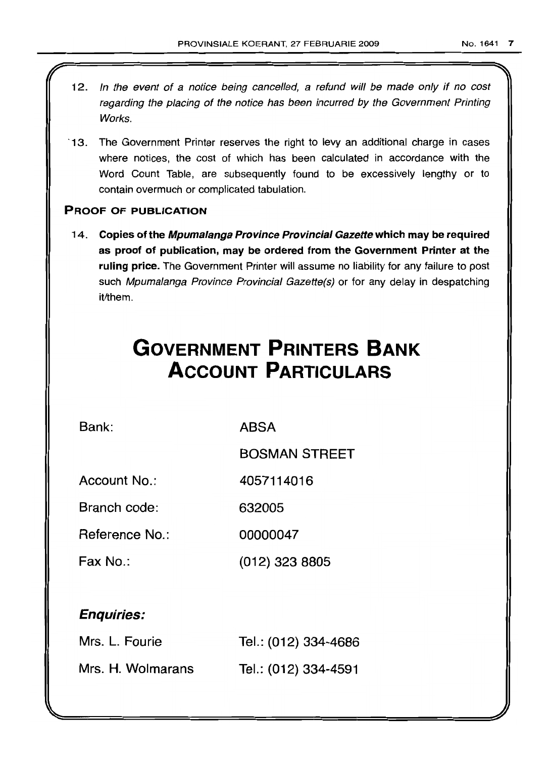- 12. In the event of a notice being cancelled, a refund will be made only if no cost regarding the placing of the notice has been incurred by the Government Printing Works.
- '13. The Government Printer reserves the right to levy an additional charge in cases where notices, the cost of which has been calculated in accordance with the Word Count Table, are subsequently found to be excessively lengthy or to contain overmuch or complicated tabulation.

## PROOF OF PUBLICATION

14. Copies of the Mpumalanga Province Provincial Gazette which may be required as proof of publication, may be ordered from the Government Printer at the ruling price. The Government Printer will assume no liability for any failure to post such Mpumalanga Province Provincial Gazette(s) or for any delay in despatching it/them.

# **GOVERNMENT PRINTERS BANK ACCOUNT PARTICULARS**

Bank: ABSA

BOSMAN STREET

Account No.: 4057114016

Branch code: 632005

Reference No.: 00000047

Fax No.: (012) 323 8805

# Enquiries:

| Mrs. L. Fourie    | Tel.: (012) 334-4686 |
|-------------------|----------------------|
| Mrs. H. Wolmarans | Tel.: (012) 334-4591 |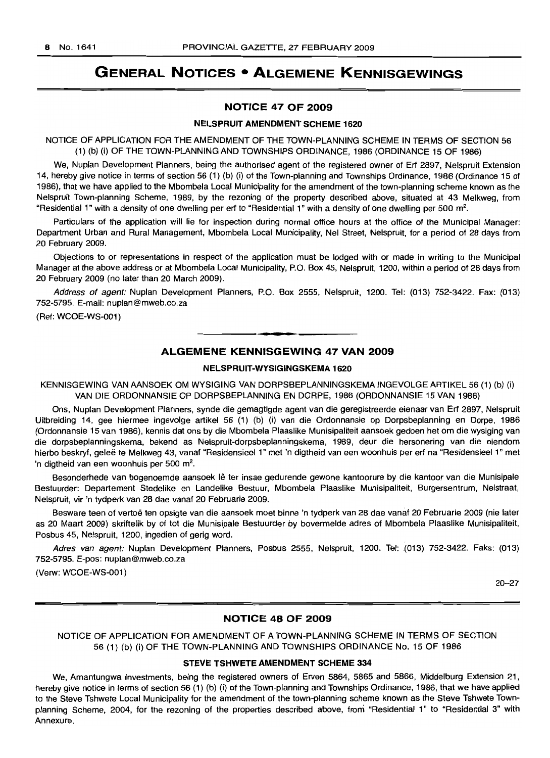# **GENERAL NOTICES • ALGEMENE KENNISGEWINGS**

## NOTICE 47 OF 2009

#### NELSPRUIT AMENDMENT SCHEME 1620

NOTICE OF APPLICATION FOR THE AMENDMENT OF THE TOWN-PLANNING SCHEME IN TERMS OF SECTION 56 (1) (b) (i) OF THE TOWN-PLANNING AND TOWNSHIPS ORDINANCE, 1986 (ORDINANCE 15 OF 1986)

We, Nuplan Development Planners, being the authorised agent of the registered owner of Ert 2897, Nelspruit Extension 14, hereby give notice in terms of section 56 (1) (b) (i) of the Town-planning and Townships Ordinance, 1986 (Ordinance 15 of 1986), that we have applied to the Mbombela Local Municipality for the amendment of the town-planning scheme known as the Nelspruit Town-planning Scheme, 1989, by the rezoning of the property described above, situated at 43 Melkweg, from "Residential 1" with a density of one dwelling per erf to "Residential 1" with a density of one dwelling per 500 m<sup>2</sup>.

Particulars of the application will lie for inspection during normal office hours at the office of the Municipal Manager: Department Urban and Rural Management, Mbombela Local Municipality, Nel Street, Nelspruit, for a period of 28 days from 20 February 2009.

Objections to or representations in respect of the application must be lodged with or made in writing to the Municipal Manager at the above address or at Mbombela Local Municipality, P.O. Box 45, Nelspruit, 1200, within a period of 28 days from 20 February 2009 (no later than 20 March 2009).

Address of agent: Nuplan Development Planners, P.O. Box 2555, Nelspruit, 1200. Tel: (013) 752-3422. Fax: (013) 752-5795. E-mail: nuplan@mweb.co.za

(Ref: WCOE-WS-001)

## ALGEMENE KENNISGEWING 47 VAN 2009

**.-**

## NELSPRUIT-WYSIGINGSKEMA 1620

KENNISGEWING VAN AANSOEK OM WYSIGING VAN DORPSBEPLANNINGSKEMA INGEVOLGE ARTIKEL 56 (1) (b) (i) VAN DIE ORDONNANSIE OP DORPSBEPLANNING EN DORPE, 1986 (ORDONNANSIE 15 VAN 1986)

Ons, Nuplan Development Planners, synde die gemagtigde agent van die geregistreerde eienaar van Ert 2897, Nelspruit Uitbreiding 14, gee hiermee ingevolge artikel 56 (1) (b) (i) van die Ordonnansie op Dorpsbeplanning en Dorpe, 1986 (Ordonnansie 15 van 1986), kennis dat ons by die Mbombela Plaaslike Munisipaliteit aansoek gedoen het om die wysiging van die dorpsbeplanningskema, bekend as Nelspruit-dorpsbeplanningskema, 1989, deur die hersonering van die eiendom hierbo beskryf, geleë te Melkweg 43, vanaf "Residensieel 1" met 'n digtheid van een woonhuis per erf na "Residensieel 1" met 'n digtheid van een woonhuis per 500 m<sup>2</sup>.

Besonderhede van bogenoemde aansoek Ie ter insae gedurende gewone kantoorure by die kantoor van die Munisipale Bestuurder: Departement Stedelike en Landelike Bestuur, Mbombela Plaaslike Munisipaliteit, Burgersentrum, Nelstraat, Nelspruit, vir 'n tydperk van 28 dae vanaf 20 Februarie 2009.

Besware teen of vertoe ten opsigte van die aansoek moet binne 'n tydperk van 28 dae vanat 20 Februarie 2009 (nie later as 20 Maart 2009) skriftelik by of tot die Munisipale Bestuurder by bovermelde adres of Mbombela Plaaslike Munisipaliteit, Posbus 45, Nelspruit, 1200, ingedien of gerig word.

Adres van agent: Nuplan Development Planners, Posbus 2555, Nelspruit, 1200. Tel: (013) 752-3422. Faks: (013) 752-5795. E-pos: nuplan@mweb.co.za

(Verw: WCOE-WS-001)

20-27

## NOTICE 48 OF 2009

NOTICE OF APPLICATION FOR AMENDMENT OF A TOWN-PLANNING SCHEME IN TERMS OF SECTION 56 (1) (b) (i) OF THE TOWN-PLANNING AND TOWNSHIPS ORDINANCE No. 15 OF 1986

#### STEVE TSHWETE AMENDMENT SCHEME 334

We, Amantungwa Investments, being the registered owners of Erven 5864, 5865 and 5866, Middelburg Extension 21, hereby give notice in terms of section 56 (1) (b) (i) of the Town-planning and Townships Ordinance, 1986, that we have applied to the Steve Tshwete Local Municipality for the amendment of the town-planning scheme known as the Steve Tshwete Townplanning Scheme, 2004, for the rezoning of the properties described above, from "Residential 1" to "Residential 3" with Annexure.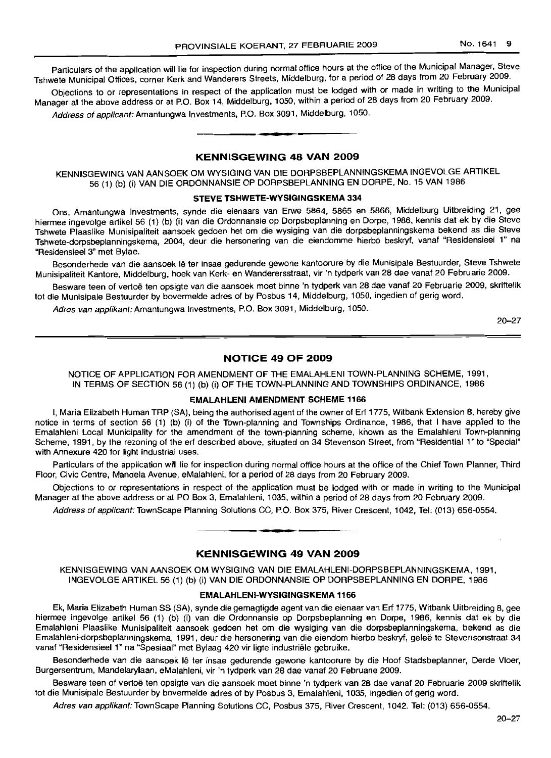Particulars of the application will lie for inspection during normal office hours at the office of the Municipal Manager, Steve Tshwete Municipal Offices, corner Kerk and Wanderers Streets, Middelburg, for a period of 28 days from 20 February 2009.

Objections to or representations in respect of the application must be lodged with or made in writing to the Municipal Manager at the above address or at P.O. Box 14, Middelburg, 1050, within a period of 28 days from 20 February 2009.

Address of applicant: Amantungwa Investments, P.O. Box 3091, Middelburg, 1050. .**- .**

## KENNISGEWING 48 VAN 2009

KENNISGEWING VAN AANSOEK OM WYSIGING VAN DIE DORPSBEPLANNINGSKEMA INGEVOLGE ARTIKEL 56 (1) (b) (i) VAN DIE ORDONNANSIE OP DORPSBEPLANNING EN DORPE, No. 15 VAN 1986

## STEVE TSHWETE-WYSIGINGSKEMA 334

Ons, Amantungwa Investments, synde die eienaars van Erwe 5864, 5865 en 5866, Middelburg Uitbreiding 21, gee hiermee ingevolge artikel 56 (1) (b) (i) van die Ordonnansie op Dorpsbeplanning en Dorpe, 1986, kennis dat ek by die Steve Tshwete Plaaslike Munisipaliteit aansoek gedoen het om die wysiging van die dorpsbeplanningskema bekend as die Steve Tshwete-dorpsbeplanningskema, 2004, deur die hersonering van die eiendomme hierbo beskryf, vanaf "Residensieel 1" na "Residensieel 3" met Bylae.

Besonderhede van die aansoek lê ter insae gedurende gewone kantoorure by die Munisipale Bestuurder, Steve Tshwete Munisipaliteit Kantore, Middelburg, hoek van Kerk- en Wanderersstraat, vir 'n tydperk van 28 dae vanaf 20 Februarie 2009.

Besware teen of vertoë ten opsigte van die aansoek moet binne 'n tydperk van 28 dae vanaf 20 Februarie 2009, skriftelik tot die Munisipale Bestuurder by bovermelde adres of by Posbus 14, Middelburg, 1050, ingedien of gerig word.

Adres van applikant: Amantungwa Investments, P.O. Box 3091, Middelburg, 1050.

20-27

## NOTICE 49 OF 2009

NOTICE OF APPLICATION FOR AMENDMENT OF THE EMALAHLENI TOWN-PLANNING SCHEME, 1991, IN TERMS OF SECTION 56 (1) (b) (i) OF THE TOWN-PLANNING AND TOWNSHIPS ORDINANCE, 1986

#### EMALAHLENI AMENDMENT SCHEME 1166

I, Maria Elizabeth Human TRP (SA), being the authorised agent of the owner of Erf 1775, Witbank Extension 8, hereby give notice in terms of section 56 (1) (b) (i) of the Town-planning and Townships Ordinance, 1986, that I have applied to the Emalahleni Local Municipality for the amendment of the town-planning scheme, known as the Emalahleni Town-planning Scheme, 1991, by the rezoning of the erf described above, situated on 34 Stevenson Street, from "Residential 1" to "Special" with Annexure 420 for light industrial uses.

Particulars of the application will lie for inspection during normal office hours at the office of the Chief Town Planner, Third Floor, Civic Centre, Mandela Avenue, eMalahleni, for a period of 28 days from 20 February 2009.

Objections to or representations in respect of the application must be lodged with or made in writing to the Municipal Manager at the above address or at PO Box 3, Emalahleni, 1035, within a period of 28 days from 20 February 2009.

Address of applicant: TownScape Planning Solutions CC, P.O. Box 375, River Crescent, 1042, Tel: (013) 656-0554.

## KENNISGEWING 49 VAN 2009

• **• T**

KENNISGEWING VAN AANSOEK OM WYSIGING VAN DIE EMALAHLENI-DORPSBEPLANNINGSKEMA, 1991, INGEVOLGE ARTIKEL 56 (1) (b) (i) VAN DIE ORDONNANSIE OP DORPSBEPLANNING EN DORPE, 1986

#### EMALAHLENI-WYSIGINGSKEMA 1166

Ek, Maria Elizabeth Human SS (SA), synde die gemagtigde agent van die eienaar van Erf 1775, Witbank Uitbreiding 8, gee hiermee ingevolge artikel 56 (1) (b) (i) van die Ordonnansie op Dorpsbeplanning en Dorpe, 1986, kennis dat ek by die Emalahleni Plaaslike Munisipaliteit aansoek gedoen het om die wysiging van die dorpsbeplanningskema, bekend as die Emalahleni-dorpsbeplanningskema, 1991, deur die hersonering van die eiendom hierbo beskryf, geleë te Stevensonstraat 34 vanaf "Residensieel 1" na "Spesiaal" met Bylaag 420 vir ligte industriele gebruike.

Besonderhede van die aansoek lê ter insae gedurende gewone kantoorure by die Hoof Stadsbeplanner, Derde Vloer, Burgersentrum, Mandelarylaan, eMalahleni, vir 'n tydperk van 28 dae vanaf 20 Februarie 2009.

Besware teen of vertoë ten opsigte van die aansoek moet binne 'n tydperk van 28 dae vanaf 20 Februarie 2009 skriftelik tot die Munisipale Bestuurder by bovermelde adres of by Posbus 3, Emalahleni, 1035, ingedien of gerig word.

Adres van applikant: TownScape Planning Solutions CC, Posbus 375, River Crescent, 1042. Tel: (013) 656-0554.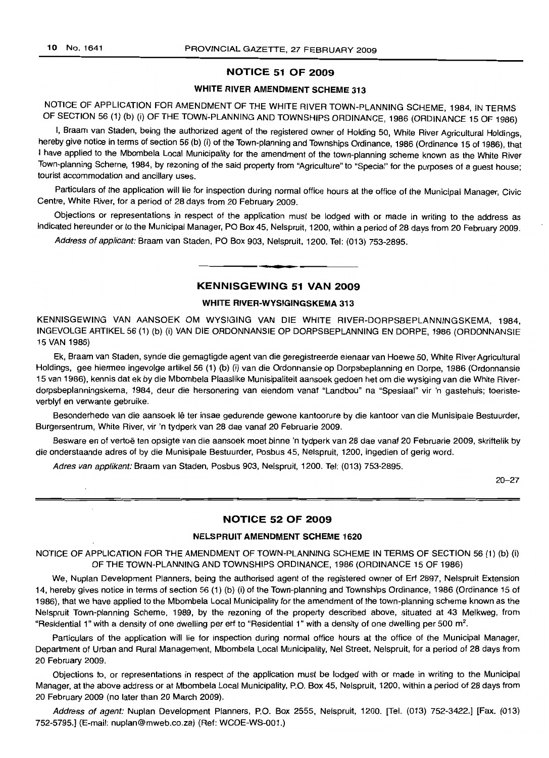## NOTICE 51 OF 2009

#### WHITE RIVER AMENDMENT SCHEME 313

NOTICE OF APPLICATION FOR AMENDMENT OF THE WHITE RIVER TOWN-PLANNING SCHEME, 1984, IN TERMS OF SECTION 56 (1) (b) (i) OF THE TOWN-PLANNING AND TOWNSHIPS ORDINANCE, 1986 (ORDINANCE 15 OF 1986)

I, Braam van Staden, being the authorized agent of the registered owner of Holding 50, White River Agricultural Holdings, hereby give notice in terms of section 56 (b) (i) of the Town-planning and Townships Ordinance, 1986 (Ordinance 15 of 1986), that I have applied to the Mbombela Local Municipality for the amendment of the town-planning scheme known as the White River Town-planning Scheme, 1984, by rezoning of the said property from "Agriculture" to "Special" for the purposes of a guest house; tourist accommodation and ancillary uses.

Particulars of the application will lie for inspection during normal office hours at the office of the Municipal Manager, Civic Centre, White River, for a period of 28 days from 20 February 2009.

Objections or representations in respect of the application must be lodged with or made in writing to the address as indicated hereunder or to the Municipal Manager, PO Box 45, Nelspruit, 1200, within a period of 28 days from 20 February 2009.

Address of applicant: Braam van Staden, PO Box 903, Nelspruit, 1200. Tel: (013) 753-2895.

#### KENNISGEWING 51 VAN 2009

**• •**

#### WHITE RIVER-WYSIGINGSKEMA 313

KENNISGEWING VAN AANSOEK OM WYSIGING VAN DIE WHITE RIVER-DORPSBEPLANNINGSKEMA, 1984, INGEVOLGE ARTIKEL 56 (1) (b) (i) VAN DIE ORDONNANSIE OP DORPSBEPLANNING EN DORPE, 1986 (ORDONNANSIE 15 VAN 1986)

Ek, Braam van Staden, synde die gemagtigde agent van die geregistreerde eienaar van Hoewe 50, White River Agricultural Holdings, gee hiermee ingevolge artikel 56 (1) (b) (i) van die Ordonnansie op Dorpsbeplanning en Dorpe, 1986 (Ordonnansie 15 van 1986), kennis dat ek by die Mbombela Plaaslike Munisipaliteit aansoek gedoen het om die wysiging van die White Riverdorpsbeplanningskema, 1984, deur die hersonering van eiendom vanaf "Landbou" na "Spesiaal" vir 'n gastehuis; toeristeverblyf en verwante gebruike.

Besonderhede van die aansoek lê ter insae gedurende gewone kantoorure by die kantoor van die Munisipale Bestuurder, Burgersentrum, White River, vir 'n tydperk van 28 dae vanat 20 Februarie 2009.

Besware en of vertoë ten opsigte van die aansoek moet binne 'n tydperk van 28 dae vanaf 20 Februarie 2009, skriftelik by die onderstaande adres of by die Munisipale Bestuurder, Posbus 45, Nelspruit, 1200, ingedien of gerig word.

Adres van applikant: Braam van Staden, Posbus 903, Nelspruit, 1200. Tel: (013) 753-2895.

20-27

## NOTICE 52 OF 2009

#### NELSPRUIT AMENDMENT SCHEME 1620

NOTICE OF APPLICATION FOR THE AMENDMENT OF TOWN-PLANNING SCHEME IN TERMS OF SECTION 56 (1) (b) (i) OF THE TOWN-PLANNING AND TOWNSHIPS ORDINANCE, 1986 (ORDINANCE 15 OF 1986)

We, Nuplan Development Planners, being the authorised agent of the registered owner of Erf 2897, Nelspruit Extension 14, hereby gives notice in terms of section 56 (1) (b) (i) of the Town-planning and Townships Ordinance, 1986 (Ordinance 15 of 1986), that we have applied to the Mbombela Local Municipality for the amendment of the town-planning scheme known as the Nelspruit Town-planning Scheme, 1989, by the rezoning of the property described above, situated at 43 Melkweg, from "Residential 1" with a density of one dwelling per erf to "Residential 1" with a density of one dwelling per 500 m<sup>2</sup>.

Particulars of the application will lie for inspection during normal office hours at the office of the Municipal Manager, Department of Urban and Rural Management, Mbombela Local Municipality, Nel Street, Nelspruit, for a period of 28 days from 20 February 2009.

Objections to, or representations in respect of the application must be lodged with or made in writing to the Municipal Manager, at the above address or at Mbombela Local Municipality, P.O. Box 45, Nelspruit, 1200, within a period of 28 days from 20 February 2009 (no later than 20 March 2009).

Address of agent: Nuplan Development Planners, P.O. Box 2555, Nelspruit, 1200. [Tel. (013) 752-3422.] [Fax. (013) 752-5795.J (E-mail: nuplan@mweb.co.za) (Ref: WCOE-WS-001.)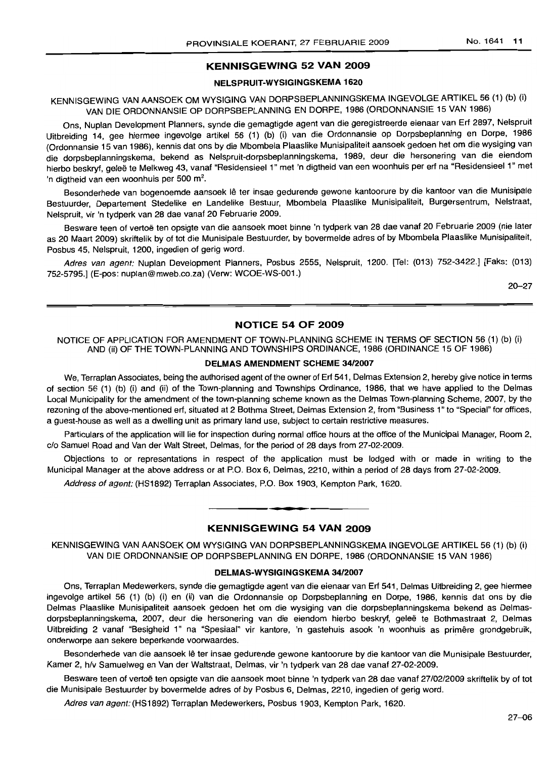## KENNISGEWING 52 VAN 2009

#### NELSPRUIT-WYSIGINGSKEMA 1620

## KENNISGEWING VAN AANSOEK OM WYSIGING VAN DORPSBEPLANNINGSKEMA INGEVOLGE ARTIKEL 56 (1) (b) (i) VAN DIE ORDONNANSIE OP DORPSBEPLANNING EN DORPE, 1986 (ORDONNANSIE 15 VAN 1986)

Ons, Nuplan Development Planners, synde die gemagtigde agent van die geregistreerde eienaar van Ert 2897, Nelspruit Uitbreiding 14, gee hiermee ingevolge artikel 56 (1) (b) (i) van die Ordonnansie op Dorpsbeplanning en Dorpe, 1986 (Ordonnansie 15 van 1986), kennis dat ons by die Mbombela Plaaslike Munisipaliteit aansoek gedoen het om die wysiging van die dorpsbeplanningskema, bekend as Nelspruit-dorpsbeplanningskema, 1989, deur die hersonering van die eiendom hierbo beskryf, geleë te Melkweg 43, vanaf "Residensieel 1" met 'n digtheid van een woonhuis per erf na "Residensieel 1" met 'n digtheid van een woonhuis per 500 m<sup>2</sup>.

Besonderhede van bogenoemde aansoek lê ter insae gedurende gewone kantoorure by die kantoor van die Munisipale Bestuurder, Departement Stedelike en Landelike Bestuur, Mbombela Plaaslike Munisipaliteit, Burgersentrum, Nelstraat, Nelspruit, vir 'n tydperk van 28 dae vanaf 20 Februarie 2009.

Besware teen of vertoë ten opsigte van die aansoek moet binne 'n tydperk van 28 dae vanaf 20 Februarie 2009 (nie later as 20 Maart 2009) skriftelik by of tot die Munisipale Bestuurder, by bovermelde adres of by Mbombela Plaaslike Munisipaliteit, Posbus 45, Nelspruit, 1200, ingedien of gerig word.

Adres van agent: Nuplan Development Planners, Posbus 2555, Nelspruit, 1200. [Tel: (013) 752-3422.] [Faks: (013) 752-5795.] (E-pos: nuplan@mweb.co.za) (Verw: WCOE-WS-001.)

20-27

## NOTICE 54 OF 2009

#### NOTICE OF APPLICATION FOR AMENDMENT OF TOWN-PLANNING SCHEME IN TERMS OF SECTION 56 (1) (b) (i) AND (ii) OF THE TOWN-PLANNING AND TOWNSHIPS ORDINANCE, 1986 (ORDINANCE 15 OF 1986)

#### DELMAS AMENDMENT SCHEME 34/2007

We, Terraplan Associates, being the authorised agent of the owner of Ert 541, Delmas Extension 2, hereby give notice in terms of section 56 (1) (b) (i) and (ii) of the Town-planning and Townships Ordinance, 1986, that we have applied to the Delmas Local Municipality for the amendment of the town-planning scheme known as the Delmas Town-planning Scheme, 2007, by the rezoning of the above-mentioned ert, situated at 2 Bothma Street, Delmas Extension 2, from "Business 1" to "Special" for offices, a guest-house as well as a dwelling unit as primary land use, subject to certain restrictive measures.

Particulars of the application will lie for inspection during normal office hours at the office of the Municipal Manager, Room 2, c/o Samuel Road and Van der Walt Street, Delmas, for the period of 28 days from 27-02-2009.

Objections to or representations in respect of the application must be lodged with or made in writing to the Municipal Manager at the above address or at P.O. Box 6, Delmas, 2210, within a period of 28 days from 27-02-2009.

Address of agent: (HS1892) Terraplan Associates, P.O. Box 1903, Kempton Park, 1620.

#### KENNISGEWING 54 VAN 2009

**• •**

KENNISGEWING VAN AANSOEK OM WYSIGING VAN DORPSBEPLANNINGSKEMA INGEVOLGE ARTIKEL 56 (1) (b) (i) VAN DIE ORDONNANSIE OP DORPSBEPLANNING EN DORPE, 1986 (ORDONNANSIE 15 VAN 1986)

## DELMAS-WYSIGINGSKEMA 34/2007

Ons, Terraplan Medewerkers, synde die gemagtigde agent van die eienaar van Ert 541, Delmas Uitbreiding 2, gee hiermee ingevolge artikel 56 (1) (b) (i) en (ii) van die Ordonnansie op Dorpsbeplanning en Dorpe, 1986, kennis dat ons by die Delmas Plaaslike Munisipaliteit aansoek gedoen het om die wysiging van die dorpsbeplanningskema bekend as Delmasdorpsbeplanningskema, 2007, deur die hersonering van die eiendom hierbo beskryf, geleë te Bothmastraat 2, Delmas Uitbreiding 2 vanaf "Besigheid 1" na "Spesiaal" vir kantore, 'n gastehuis asook 'n woonhuis as primere grondgebruik, onderworpe aan sekere beperkende voorwaardes. .

Besonderhede van die aansoek lê ter insae gedurende gewone kantoorure by die kantoor van die Munisipale Bestuurder, Kamer 2, h/v Samuelweg en Van der Waltstraat, Delmas, vir 'n tydperk van 28 dae vanaf 27-02-2009.

Besware teen of vertoë ten opsigte van die aansoek moet binne 'n tydperk van 28 dae vanaf 27/02/2009 skriftelik by of tot die Munisipale Bestuurder by bovermelde adres of by Posbus 6, Delmas, 2210, ingedien of gerig word.

Adres van agent: (HS1892) Terraplan Medewerkers, Posbus 1903, Kempton Park, 1620.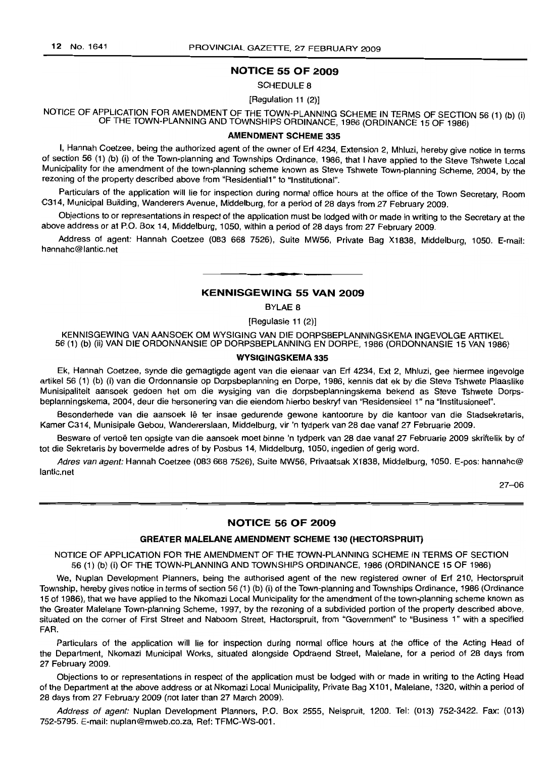#### NOTICE 55 OF 2009

#### SCHEDULE 8

#### [Regulation 11 (2)]

NOTICE OF APPLICATION FOR AMENDMENT OF THE TOWN-PLANNING SCHEME IN TERMS OF SECTION 56 (1) (b) (i) OF THE TOWN-PLANNING AND TOWNSHIPS ORDINANCE, 1986 (ORDINANCE 15 OF 1986)

## AMENDMENT SCHEME 335

I, Hannah Coetzee, being the authorized agent of the owner of Erf 4234, Extension 2, Mhluzi, hereby give notice in terms of section 56 (1) (b) (i) of the Town-planning and Townships Ordinance, 1986, that I have applied to the Steve Tshwete Local Municipality for the amendment of the town-planning scheme known as Steve Tshwete Town-planning Scheme, 2004, by the rezoning of the property described above from "ResidentiaI1" to "Institutional".

Particulars of the application will lie for inspection during normal office hours at the office of the Town Secretary, Room C314, Municipal Building, Wanderers Avenue, Middelburg, for a period of 28 days from 27 February 2009.

Objections to or representations in respect of the application must be lodged with or made in writing to the Secretary at the above address or at P.O. Box 14, Middelburg, 1050, within a period of 28 days from 27 February 2009.

Address of agent: Hannah Coetzee (083 668 7526), Suite MW56, Private Bag X1838, Middelburg, 1050. E-mail: hannahc@lantic.net

## KENNISGEWING 55 VAN 2009

**.-**

BYLAE 8

[Regulasie 11 (2)]

KENNISGEWING VAN AANSOEK OM WYSIGING VAN DIE DORPSBEPLANNINGSKEMA INGEVOLGE ARTIKEL 56 (1) (b) (ii) VAN DIE ORDONNANSIE OP DORPSBEPLANNING EN DORPE, 1986 (ORDONNANSIE 15 VAN 1986)

#### WYSIGINGSKEMA 335

Ek, Hannah Coetzee, synde die gemagtigde agent van die eienaar van Erf 4234, Ext 2, Mhluzi, gee hiermee ingevolge artikel 56 (1) (b) (i) van die Ordonnansie op Dorpsbeplanning en Dorpe, 1986, kennis dat ek by die Steve Tshwete Plaaslike Munisipaliteit aansoek gedoen het om die wysiging van die dorpsbeplanningskema bekend as Steve Tshwete Dorpsbeplanningskema, 2004, deur die hersonering van die eiendom hierbo beskryf van "Residensieel 1" na "Institusioneel".

Besonderhede van die aansoek lê ter insae gedurende gewone kantoorure by die kantoor van die Stadsekretaris, Kamer C314, Munisipale Gebou, Wandererslaan, Middelburg, vir 'n tydperk van 28 dae vanaf 27 Februarie 2009.

Besware of vertoë ten opsigte van die aansoek moet binne 'n tydperk van 28 dae vanaf 27 Februarie 2009 skriftelik by of tot die Sekretaris by bovermelde adres of by Posbus 14, Middelburg, 1050, ingedien of gerig word.

Adres van agent: Hannah Coetzee (083 668 7526), Suite MW56, Privaatsak X1838, Middelburg, 1050. E-pos: hannahc@ lantic.net

27-06

## NOTICE 56 OF 2009

#### GREATER MALELANE AMENDMENT SCHEME 130 (HECTORSPRUIT)

NOTICE OF APPLICATION FOR THE AMENDMENT OF THE TOWN-PLANNING SCHEME IN TERMS OF SECTION 56 (1) (b) (i) OF THE TOWN-PLANNING AND TOWNSHIPS ORDINANCE, 1986 (ORDINANCE 15 OF 1986)

We, Nuplan Development Planners, being the authorised agent of the new registered owner of Erf 210, Hectorspruit Township, hereby gives notice in terms of section 56 (1) (b) (i) of the Town-planning and Townships Ordinance, 1986 (Ordinance 15 of 1986), that we have applied to the Nkomazi Local Municipality for the amendment of the town-planning scheme known as the Greater Malelane Town-planning Scheme, 1997, by the rezoning of a subdivided portion of the property described above, situated on the corner of First Street and Naboom Street, Hactorspruit, from "Government" to "Business 1" with a specified FAR.

Particulars of the application will lie for inspection during normal office hours at the office of the Acting Head of the Department, Nkomazi Municipal Works, situated alongside Opdraend Street, Malelane, for a period of 28 days from 27 February 2009.

Objections to or representations in respect of the application must be lodged with or made in writing to the Acting Head of the Department at the above address or at Nkomazi Local Municipality, Private Bag X101, Malelane, 1320, within a period of 28 days from 27 February 2009 (not later than 27 March 2009).

Address of agent: Nuplan Development Planners, P.O. Box 2555, Nelspruit, 1200. Tel: (013) 752-3422. Fax: (013) 752-5795. E-mail: nuplan@mweb.co.za. Ref: TFMC-WS-001.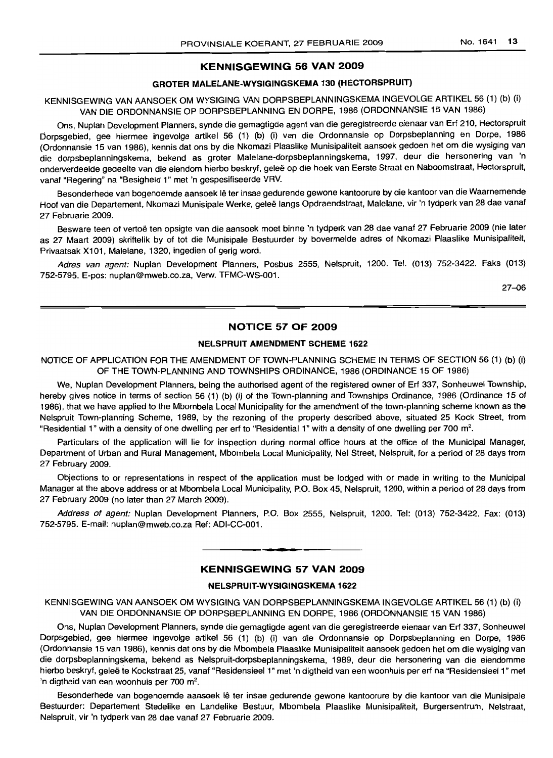## KENNISGEWING 56 VAN 2009

## GROTER MALELANE-WYSIGINGSKEMA 130 (HECTORSPRUIT)

## KENNISGEWING VAN AANSOEK OM WYSIGING VAN DORPSBEPLANNINGSKEMA INGEVOLGE ARTIKEL 56 (1) (b) (i) VAN DIE ORDONNANSIE OP DORPSBEPLANNING EN DORPE, 1986 (ORDONNANSIE 15 VAN 1986)

Ons, Nuplan Development Planners, synde die gemagtigde agent van die geregistreerde eienaar van Erf 210, Hectorspruit Dorpsgebied, gee hiermee ingevolge artikel 56 (1) (b) (i) van die Ordonnansie op Dorpsbeplanning en Dorpe, 1986 (Ordonnansie 15 van 1986), kennis dat ons by die Nkomazi Plaaslike Munisipaliteit aansoek gedoen het om die wysiging van die dorpsbeplanningskema, bekend as groter Malelane-dorpsbeplanningskema, 1997, deur die hersonering van 'n onderverdeelde gedeelte van die eiendom hierbo beskryf, geleë op die hoek van Eerste Straat en Naboomstraat, Hectorspruit, vanaf "Regering" na "Besigheid 1" met 'n gespesifiseerde VRV.

Besonderhede van bogenoemde aansoek lê ter insae gedurende gewone kantoorure by die kantoor van die Waarnemende Hoof van die Departement, Nkomazi Munisipale Werke, geleë langs Opdraendstraat, Malelane, vir 'n tydperk van 28 dae vanaf 27 Februarie 2009.

Besware teen of vertoë ten opsigte van die aansoek moet binne 'n tydperk van 28 dae vanaf 27 Februarie 2009 (nie later as 27 Maart 2009) skriftelik by of tot die Munisipale Bestuurder by bovermelde adres of Nkomazi Plaaslike Munisipaliteit, Privaatsak X101, Malelane, 1320, ingedien of gerig word.

Adres van agent: Nuplan Development Planners, Posbus 2555, Nelspruit, 1200. Tel. (013) 752-3422. Faks (013) 752-5795. E-pos: nuplan@mweb.co.za, Verw. TFMC-WS-001.

27-06

## NOTICE 57 OF 2009

#### NELSPRUIT AMENDMENT SCHEME 1622

## NOTICE OF APPLICATION FOR THE AMENDMENT OF TOWN-PLANNING SCHEME IN TERMS OF SECTION 56 (1) (b) (i) OF THE TOWN-PLANNING AND TOWNSHIPS ORDINANCE, 1986 (ORDINANCE 15 OF 1986)

We, Nuplan Development Planners, being the authorised agent of the registered owner of Erf 337, Sonheuwel Township, hereby gives notice in terms of section 56 (1) (b) (i) of the Town-planning and Townships Ordinance, 1986 (Ordinance 15 of 1986), that we have applied to the Mbombela Local Municipality for the amendment of the town-planning scheme known as the Nelspruit Town-planning Scheme, 1989, by the rezoning of the property described above, situated 25 Kock Street, from "Residential 1" with a density of one dwelling per erf to "Residential 1" with a density of one dwelling per 700 m<sup>2</sup>.

Particulars of the application will lie for inspection during normal office hours at the office of the Municipal Manager, Department of Urban and Rural Management, Mbombela Local Municipality, Nel Street, Nelspruit, for a period of 28 days from 27 February 2009.

Objections to or representations in respect of the application must be lodged with or made in writing to the Municipal Manager at the above address or at Mbombela Local Municipality, P.O. Box 45, Nelspruit, 1200, within a period of 28 days from 27 February 2009 (no later than 27 March 2009).

Address of agent: Nuplan Development Planners, P.O. Box 2555, Nelspruit, 1200. Tel: (013) 752-3422. Fax: (013) 752-5795. E-mail: nuplan@mweb.co.za Ref: ADI-CC-001.

# **•** KENNISGEWING 57 VAN 2009

#### NELSPRUIT-WYSIGINGSKEMA 1622

KENNISGEWING VAN AANSOEK OM WYSIGING VAN DORPSBEPLANNINGSKEMA INGEVOLGE ARTIKEL 56 (1) (b) (i) VAN DIE ORDONNANSIE OP DORPSBEPLANNING EN DORPE, 1986 (ORDONNANSIE 15 VAN 1986)

Ons, Nuplan Development Planners, synde die gemagtigde agent van die geregistreerde eienaar van Erf 337, Sonheuwel Dorpsgebied, gee hiermee ingevolge artikel 56 (1) (b) (i) van die Ordonnansie op Dorpsbeplanning en Dorpe, 1986 (Ordonnansie 15 van 1986), kennis dat ons by die Mbombela Plaaslike Munisipaliteit aansoek gedoen het om die wysiging van die dorpsbeplanningskema, bekend as Nelspruit-dorpsbeplanningskema, 1989, deur die hersonering van die eiendomme hierbo beskryf, geleë te Kockstraat 25, vanaf "Residensieel 1" met 'n digtheid van een woonhuis per erf na "Residensieel 1" met 'n digtheid van een woonhuis per 700 m<sup>2</sup>.

Besonderhede van bogenoemde aansoek Ie ter insae gedurende gewone kantoorure by die kantoor van die Munisipale Bestuurder: Departement Stedelike en Landelike Bestuur, Mbombela Plaaslike Munisipaliteit, Burgersentrum, Nelstraat, Nelspruit, vir 'n tydperk van 28 dae vanaf 27 Februarie 2009.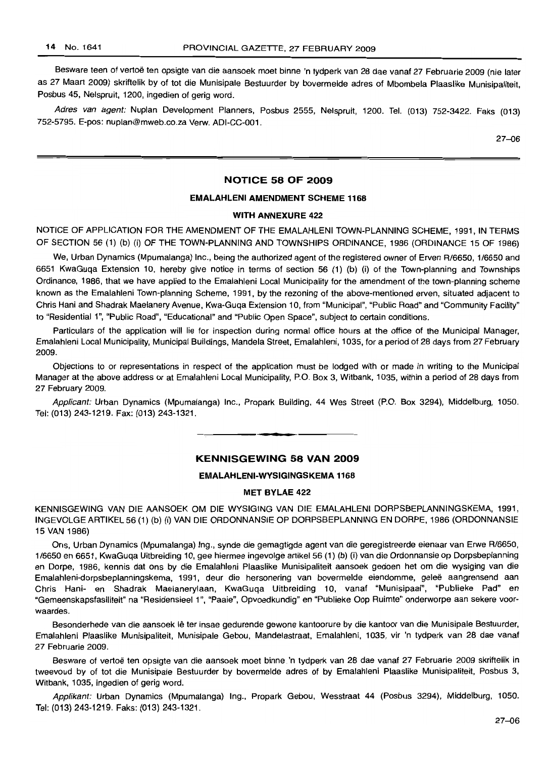Besware teen of vertoë ten opsigte van die aansoek moet binne 'n tydperk van 28 dae vanaf 27 Februarie 2009 (nie later as 27 Maart 2009) skriftelik by of tot die Munisipale Bestuurder by bovermelde adres of Mbombela Plaaslike Munisipaliteit, Posbus 45, Nelspruit, 1200, ingedien of gerig word.

Adres van agent: Nuplan Development Planners, Posbus 2555, Nelspruit, 1200. Tel. (013) 752-3422. Faks (013) 752-5795. E-pos: nuplan@mweb.co.za Verw. ADI-CC-001.

 $27 - 06$ 

#### **NOTICE 58 OF 2009**

#### **EMALAHLENI AMENDMENT SCHEME 1168**

#### **WITH ANNEXURE** 422

NOTICE OF APPLICATION FOR THE AMENDMENT OF THE EMALAHLENI TOWN-PLANNING SCHEME, 1991, IN TERMS OF SECTION 56 (1) (b) (i) OF THE TOWN-PLANNING AND TOWNSHIPS ORDINANCE, 1986 (ORDINANCE 15 OF 1986)

We, Urban Dynamics (Mpumalanga) Inc., being the authorized agent of the registered owner of Erven R/6650, 1/6650 and 6651 KwaGuqa Extension 10, hereby give notice in terms of section 56 (1) (b) (i) of the Town-planning and Townships Ordinance, 1986, that we have applied to the Emalahleni Local Municipality for the amendment of the town-planning scheme known as the Emalahleni Town-planning Scheme, 1991, by the rezoning of the above-mentioned erven, situated adjacent to Chris Hani and Shadrak Maelanery Avenue, Kwa-Guqa Extension 10, from "Municipal", "Public Road" and "Community Facility" to "Residential 1", "Public Road", "Educational" and "Public Open Space", subject to certain conditions.

Particulars of the application will lie for inspection during normal office hours at the office of the Municipal Manager, Emalahleni Local Municipality, Municipal Buildings, Mandela Street, Emalahleni, 1035, for a period of 28 days from 27 February 2009.

Objections to or representations in respect of the application must be lodged with or made in writing to the Municipal Manager at the above address or at Emalahleni Local Municipality, P.O. Box 3, Witbank, 1035, within a period of 28 days from 27 February 2009.

Applicant: Urban Dynamics (Mpumalanga) Inc., Propark Building, 44 Wes Street (P.O. Box 3294), Middelburg, 1050. Tel: (013) 243-1219. Fax: (013) 243-1321.

**- .**

## **KENNISGEWING 58 VAN 2009**

#### **EMALAHLENI-WYSIGINGSKEMA 1168**

#### **MET BYLAE 422**

KENNISGEWING VAN DIE AANSOEK OM DIE WYSIGING VAN DIE EMALAHLENI DORPSBEPLANNINGSKEMA, 1991, INGEVOLGE ARTIKEL 56 (1) (b) (i) VAN DIE ORDONNANSIE OP DORPSBEPLANNING EN DORPE, 1986 (ORDONNANSIE 15 VAN 1986)

Ons, Urban Dynamics (Mpumalanga) Ing., synde die gemagtigde agent van die geregistreerde eienaar van Erwe R/6650, 1/6650 en 6651, KwaGuqa Uitbreiding 10, gee hiermee ingevolge artikel 56 (1) (b) (i) van die Ordonnansie op Dorpsbeplanning en Dorpe, 1986, kennis dat ons by die Emalahleni Plaaslike Munisipaliteit aansoek gedoen het om die wysiging van die Emalahleni-dorpsbeplanningskema, 1991, deur die hersonering van bovermelde eiendomme, gelee aangrensend aan Chris Hani- en Shadrak Maelanerylaan, KwaGuqa Uitbreiding 10, vanaf "Munisipaal", "Publieke Pad" en "Gemeenskapsfasiliteit" na "Residensieel 1", "Paaie", Opvoedkundig" en "Publieke Oop Ruimte" onderworpe aan sekere voorwaardes.

Besonderhede van die aansoek Ie ter insae gedurende gewone kantoorure by die kantoor van die Munisipale Bestuurder, Emalahleni Plaaslike Munisipaliteit, Munisipale Gebou, Mandelastraat, Emalahleni, 1035, vir 'n tydperk van 28 dae vanaf 27 Februarie 2009.

Besware of vertoë ten opsigte van die aansoek moet binne 'n tydperk van 28 dae vanaf 27 Februarie 2009 skriftelik in tweevoud by of tot die Munisipale Bestuurder by bovermelde adres of by Emalahleni Plaaslike Munisipaliteit, Posbus 3, Witbank, 1035, ingedien of gerig word.

Applikant: Urban Dynamics (Mpumalanga) Ing., Propark Gebou, Wesstraat 44 (Posbus 3294), Middelburg, 1050. Tel: (013) 243-1219. Faks: (013) 243-1321.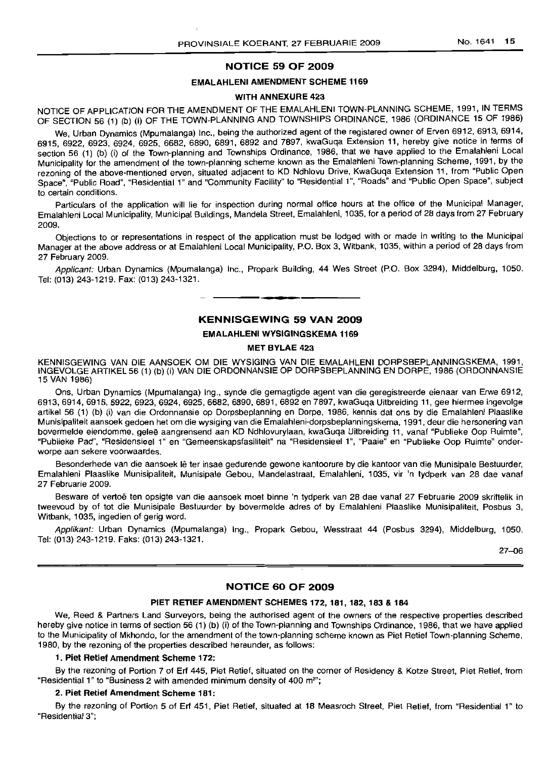## NOTICE 59 OF 2009

## EMALAHLENI AMENDMENT SCHEME 1169

#### WITH ANNEXURE 423

NOTICE OF APPLICATION FOR THE AMENDMENT OF THE EMALAHLENI TOWN-PLANNING SCHEME, 1991, IN TERMS OF SECTION 56 (1) (b) (i) OF THE TOWN-PLANNING AND TOWNSHIPS ORDINANCE, 1986 (ORDINANCE 15 OF 1986)

We, Urban Dynamics (Mpumalanga) Inc., being the authorized agent of the registered owner of Erven 6912, 6913, 6914, 6915,6922,6923,6924,6925,6682,6890,6891,6892 and 7897, kwaGuqa Extension 11, hereby give notice in terms of section 56 (1) (b) (i) of the Town-planning and Townships Ordinance, 1986, that we have applied to the Emalahleni Local Municipality for the amendment of the town-planning scheme known as the Emalahleni Town-planning Scheme, 1991, by the rezoning of the above-mentioned erven, situated adjacent to KD Ndhlovu Drive, KwaGuqa Extension 11, from "Public Open Space", "Public Road", "Residential 1" and "Community Facility" to "Residential 1", "Roads" and "Public Open Space", subject to certain conditions.

Particulars of the application will lie for inspection during normal office hours at the office of the Municipal Manager, Emalahleni Local Municipality, Municipal Buildings, Mandela Street, Emalahleni, 1035, for a period of 28 days from 27 February 2009.

Objections to or representations in respect of the application must be lodged with or made in writing to the Municipal Manager at the above address or at Emalahleni Local Municipality, P.O. Box 3, Witbank, 1035, within a period of 28 days from 27 February 2009.

Applicant: Urban Dynamics (Mpumalanga) Inc., Propark Building, 44 Wes Street (P.O. Box 3294), Middelburg, 1050. Tel: (013) 243-1219. Fax: (013) 243-1321. **-.**

#### KENNISGEWING 59 VAN 2009

#### EMALAHLENI WYSIGINGSKEMA 1169

#### MET BYLAE 423

KENNISGEWING VAN DIE AANSOEK OM DIE WYSIGING VAN DIE EMALAHLENI DORPSBEPLANNINGSKEMA, 1991, INGEVOLGE ARTIKEL 56 (1) (b) (i) VAN DIE ORDONNANSIE OP DORPSBEPLANNING EN DORPE, 1986 (ORDONNANSIE 15 VAN 1986)

Ons, Urban Dynamics (Mpumalanga) Ing., synde die gemagtigde agent van die geregistreerde eienaar van Erwe 6912, 6913,6914,6915,6922,6923,6924,6925,6682,6890, 6891,6892 en 7897, kwaGuqa Uitbreiding 11, gee hiermee ingevolge artikel 56 (1) (b) (i) van die Ordonnansie op Dorpsbeplanning en Dorpe, 1986, kennis dat ons by die Emalahleni Plaaslike Munisipaliteit aansoek gedoen het om die wysiging van die Emalahleni-dorpsbeplanningskema, 1991, deur die hersonering van bovermelde eiendomme, gelee aangrensend aan KD Ndhlovurylaan, kwaGuqa Uitbreiding 11, vanaf "Publieke Oop Ruimte", "Publieke Pad", "Residensieel 1" en "Gemeenskapsfasiliteit" na "Residensieel 1", "Paale" en "Publieke Oop Ruimte" onderworpe aan sekere voorwaardes.

Besonderhede van die aansoek lê ter insae gedurende gewone kantoorure by die kantoor van die Munisipale Bestuurder, Emalahleni Plaaslike Munisipaliteit, Munisipale Gebou, Mandelastraat, Emalahleni, 1035, vir 'n tydperk van 28 dae vanaf 27 Februarie 2009.

Besware of vertoë ten opsigte van die aansoek moet binne 'n tydperk van 28 dae vanaf 27 Februarie 2009 skriftelik in tweevoud by of tot die Munisipale Bestuurder by bovermelde adres of by Emalahleni Plaaslike Munisipaliteit, Posbus 3, Witbank, 1035, ingedien of gerig word.

Applikant: Urban Dynamics (Mpumalanga) Ing., Propark Gebou, Wesstraat 44 (Posbus 3294), Middelburg, 1050. Tel: (013) 243-1219. Faks: (013) 243-1321.

27-06

#### NOTICE 60 OF 2009

#### PIET RETIEF AMENDMENT SCHEMES 172,181,182,183 & 184

We, Reed & Partners Land Surveyors, being the authorised agent of the owners of the respective properties described hereby give notice in terms of section 56 (1) (b) (i) of the Town-planning and Townships Ordinance, 1986, that we have applied to the Municipality of Mkhondo, for the amendment of the town-planning scheme known as Piet Retief Town-planning Scheme, 1980, by the rezoning of the properties described hereunder, as follows:

#### 1. Piet Retief Amendment Scheme 172:

By the rezoning of Portion 7 of Erf 445, Piet Retief, situated on the corner of Residency & Kotze Street, Piet Retief, from "Residential 1" to "Business 2 with amended minimum density of 400 m<sup>2"</sup>;

## 2. Piet Retief Amendment Scheme 181:

By the rezoning of Portion 5 of Erf 451, Piet Retief, situated at 18 Measroch Street, Piet Retief, from "Residential 1" to "Residential 3";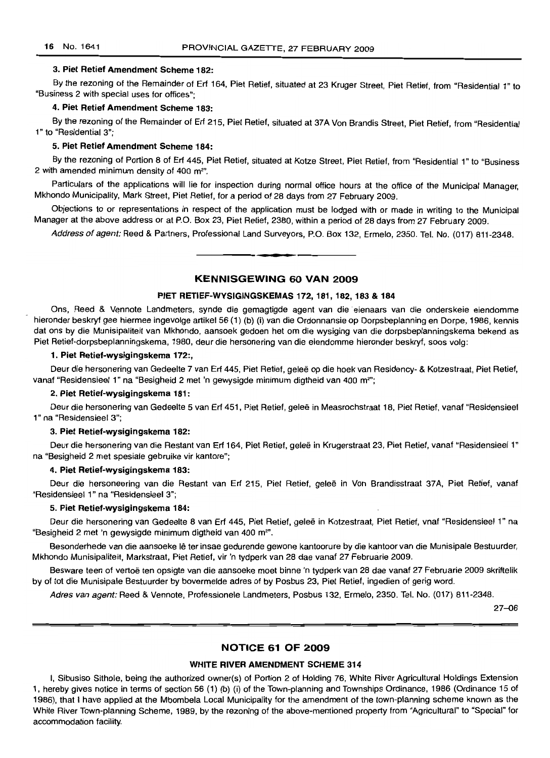#### 3. Piet Retief Amendment Scheme 182:

By the rezoning of the Remainder of Erf 164, Piet Retief, situated at 23 Kruger Street, Piet Retief, from "Residential 1" to "Business 2 with special uses for offices";

#### 4. Piet Retief Amendment Scheme 183:

By the rezoning of the Remainder of Erf 215, Piet Retief, situated at 37A Von Brandis Street, Piet Retief, from "Residential 1" to "Residential 3";

#### 5. Piet Retief Amendment Scheme 184:

By the rezoning of Portion 8 of Erf 445, Piet Retief, situated at Kotze Street, Piet Retief, from "Residential 1" to "Business 2 with amended minimum density of 400 m<sup>2</sup>".

Particulars of the applications will lie for inspection during normal office hours at the office of the Municipal Manager, Mkhondo Municipality, Mark Street, Piet Retief, for a period of 28 days from 27 February 2009.

Objections to or representations in respect of the application must be lodged with or made in writing to the Municipal Manager at the above address or at P.O. Box 23, Piet Retief, 2380, within a period of 28 days from 27 February 2009.

Address of agent: Reed & Partners, Professional Land Surveyors, P.O. Box 132, Ermelo, 2350. Tel. No. (017) 811-2348.

#### KENNISGEWING 60 VAN 2009

**•**

#### PIET RETIEF-WYSIGINGSKEMAS 172, 181, 182, 183 & 184

Ons, Reed & Vennote Landmeters, synde die gemagtigde agent van die eienaars van die onderskeie eiendomme hieronder beskryf gee hiermee ingevolge artikel 56 (1) (b) (i) van die Ordonnansie op Dorpsbeplanning en Dorpe, 1986, kennis dat ons by die Munisipaliteit van Mkhondo, aansoek gedoen het om die wysiging van die dorpsbeplanningskema bekend as Piet Retief-dorpsbeplanningskema, 1980, deur die hersonering van die eiendomme hieronder beskryf, soos volg:

#### 1. Piet Retief-wysigingskema 172:,

Deur die hersonering van Gedeelte 7 van Erf 445, Piet Retief, geleë op die hoek van Residency- & Kotzestraat, Piet Retief, vanaf "Residensieel 1" na "Besigheid 2 met 'n gewysigde minimum digtheid van 400 m<sup>2</sup>";

#### 2. Piet Retief-wysigingskema 181:

Deur die hersonering van Gedeelte 5 van Erf 451, Piet Retief, gelee in Measrochstraat 18, Piet Retief, vanaf "Residensieel 1" na "Residensieel 3";

#### 3. Piet Retief-wysigingskema 182:

Deur die hersonering van die Restant van Erf 164, Piet Retief, gelee in Krugerstraat 23, Piet Retief, vanaf "Residensieel 1" na "Besigheid 2 met spesiale gebruike vir kantore";

#### 4. Piet Retief-wysigingskema 183:

Deur die hersoneering van die Restant van Erf 215, Piet Retief, gelee in Von Brandisstraat 37A, Piet Retief, vanaf "Residensieel 1" na "Residensieel 3";

#### 5. Piet Retief-wysigingskema 184:

Deur die hersonering van Gedeelte 8 van Erf 445, Piet Retief, gelee in Kotzestraat, Piet Retief, vnaf "Residensieel 1" na "Besigheid 2 met 'n gewysigde minimum digtheid van 400 m<sup>2</sup>".

Besonderhede van die aansoeke lê ter insae gedurende gewone kantoorure by die kantoor van die Munisipale Bestuurder, Mkhondo Munisipaliteit, Markstraat, Piet Retief, vir 'n tydperk van 28 dae vanaf 27 Februarie 2009.

Besware teen of vertoë ten opsigte van die aansoeke moet binne 'n tydperk van 28 dae vanaf 27 Februarie 2009 skriftelik by of tot die Munisipale Bestuurder by bovermelde adres of by Posbus 23, Piet Retief, ingedien of gerig word.

Adres van agent: Reed & Vennote, Professionele Landmeters, Posbus 132, Ermelo, 2350. Tel. No. (017) 811-2348.

27-06

#### NOTICE 61 OF 2009

#### WHITE RIVER AMENDMENT SCHEME 314

I, Sibusiso Sithole, being the authorized owner(s) of Portion 2 of Holding 76, White River Agricultural Holdings Extension 1, hereby gives notice in terms of section 56 (1) (b) (i) of the Town-planning and Townships Ordinance, 1986 (Ordinance 15 of 1986), that I have applied at the Mbombela Local Municipality for the amendment of the town-planning scheme known as the White River Town-planning Scheme, 1989, by the rezoning of the above-mentioned property from "Agricultural" to "Special" for accommodation facility.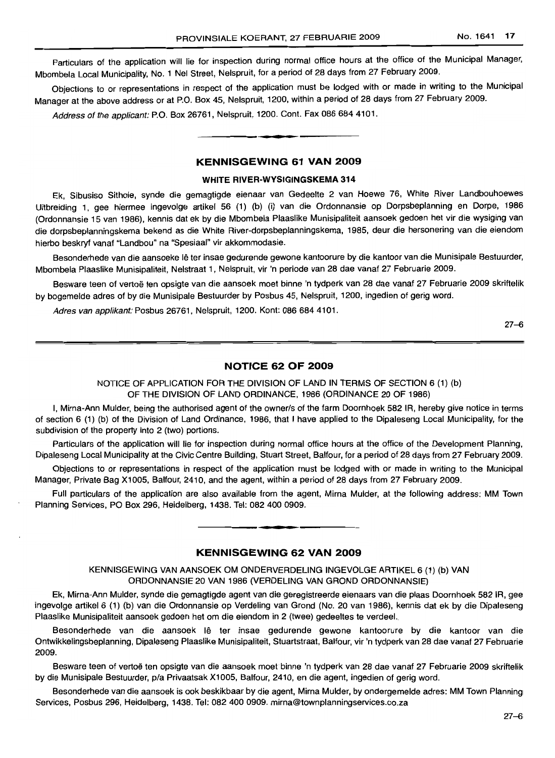Particulars of the application will lie for inspection during normal office hours at the office of the Municipal Manager, Mbombela Local Municipality, NO.1 Nel Street, Nelspruit, for a period of 28 days from 27 February 2009.

Objections to or representations in respect of the application must be lodged with or made in writing to the Municipal Manager at the above address or at P.O. Box 45, Nelspruit, 1200, within a period of 28 days from 27 February 2009.

Address of the applicant: P.O. Box 26761, Nelspruit, 1200. Cont. Fax 086 684 4101. .**-.**

#### **KENNISGEWING 61 VAN 2009**

#### **WHITE RIVER-WVSIGINGSKEMA 314**

Ek, Sibusiso Sithole, synde die gemagtigde eienaar van Gedeelte 2 van Hoewe 76, White River Landbouhoewes Uitbreiding 1, gee hiermee ingevolge artikel 56 (1) (b) (i) van die Ordonnansie op Dorpsbeplanning en Dorpe, 1986 (Ordonnansie 15 van 1986), kennis dat ek by die Mbombela Plaaslike Munisipaliteit aansoek gedoen het vir die wysiging van die dorpsbeplanningskema bekend as die White River-dorpsbeplanningskema, 1985, deur die hersonering van die eiendom hierbo beskryf vanaf "Landbou" na "Spesiaal" vir akkommodasie.

Besonderhede van die aansoeke lê ter insae gedurende gewone kantoorure by die kantoor van die Munisipale Bestuurder, Mbombela Plaaslike Munisipaliteit, Nelstraat 1, Nelspruit, vir 'n periode van 28 dae vanaf 27 Februarie 2009.

Besware teen of vertoë ten opsigte van die aansoek moet binne 'n tydperk van 28 dae vanaf 27 Februarie 2009 skriftelik by bogemelde adres of by die Munisipale Bestuurder by Posbus 45, Nelspruit, 1200, ingedien of gerig word.

Adres van applikant: Posbus 26761, Nelspruit, 1200. Kont: 086 684 4101.

27-6

#### **NOTICE 62 OF 2009**

NOTICE OF APPLICATION FOR THE DIVISION OF LAND IN TERMS OF SECTION 6 (1) (b) OF THE DIVISION OF LAND ORDINANCE, 1986 (ORDINANCE 20 OF 1986)

I, Mirna-Ann Mulder, being the authorised agent of the owner/s of the farm Doornhoek 582 IR, hereby give notice in terms of section 6 (1) (b) of the Division of Land Ordinance, 1986, that I have applied to the Dipaleseng Local Municipality, for the subdivision of the property into 2 (two) portions.

Particulars of the application will lie for inspection during normal office hours at the office of the Development Planning, Dipaleseng Local Municipality at the Civic Centre Building, Stuart Street, Balfour, for a period of 28 days from 27 February 2009.

Objections to or representations in respect of the application must be lodged with or made in writing to the Municipal Manager, Private Bag X1005, Balfour, 2410, and the agent, within a period of 28 days from 27 February 2009.

Full particulars of the application are also available from the agent, Mirna Mulder, at the following address: MM Town Planning Services, PO Box 296, Heidelberg, 1438. Tel: 082 400 0909. **.-**

## **KENNISGEWING 62 VAN 2009**

KENNISGEWING VAN AANSOEK OM ONDERVERDELING INGEVOLGE ARTIKEL 6 (1) (b) VAN ORDONNANSIE 20 VAN 1986 (VERDELING VAN GROND ORDONNANSIE)

Ek, Mirna-Ann Mulder, synde die gemagtigde agent van die geregistreerde eienaars van die plaas Doornhoek 582 IR, gee ingevolge artikel 6 (1) (b) van die Ordonnansie op Verdeling van Grond (No. 20 van 1986), kennis dat ek by die Dipaleseng Plaaslike Munisipaliteit aansoek gedoen het om die eiendom in 2 (twee) gedeeltes te verdee/.

Besonderhede van die aansoek lê ter insae gedurende gewone kantoorure by die kantoor van die Ontwikkelingsbeplanning, Dipaleseng Plaaslike Munisipaliteit, Stuartstraat, Balfour, vir 'n tydperk van 28 dae vanaf 27 Februarie 2009.

Besware teen of vertoë ten opsigte van die aansoek moet binne 'n tydperk van 28 dae vanaf 27 Februarie 2009 skriftelik by die Munisipale Bestuurder, pia Privaatsak X1005, Balfour, 2410, en die agent, ingedien of gerig word.

Besonderhede van die aansoek is ook beskikbaar by die agent, Mirna MUlder, by ondergemelde adres: MM Town Planning Services, Posbus 296, Heidelberg, 1438. Tel: 082 400 0909. mirna@townplanningservices.co.za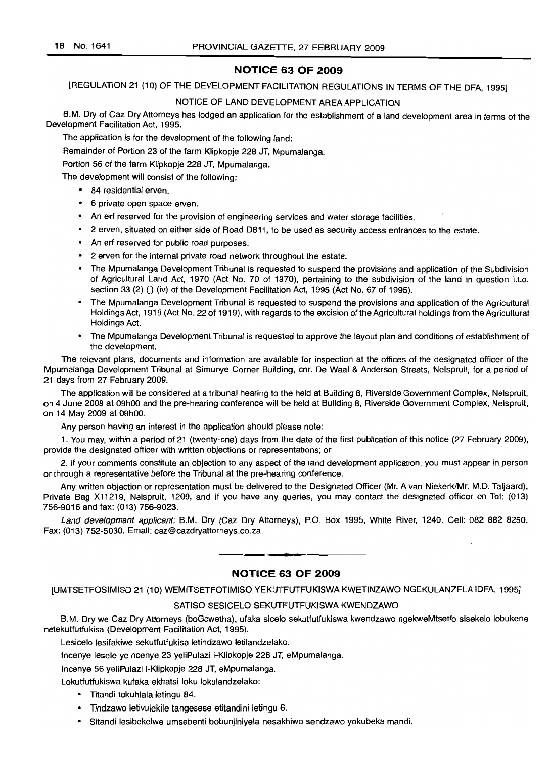## **NOTICE 63 OF 2009**

[REGULATION 21 (10) OF THE DEVELOPMENT FACILITATION REGULATIONS IN TERMS OF THE DFA, 1995]

## NOTICE OF LAND DEVELOPMENT AREA APPLICATION

B.M. Dry of Caz Dry Attorneys has lodged an application for the establishment of a land development area in terms of the Development Facilitation Act, 1995.

The application is for the development of the following land:

Remainder of Portion 23 of the farm Klipkopje 228 JT, Mpumalanga.

Portion 56 of the farm Klipkopje 228 JT, Mpumalanga.

The development will consist of the following:

- 84 residential erven.
- 6 private open space erven.
- An ert reserved for the provision of engineering services and water storage facilities.
- 2 erven, situated on either side of Road 0811, to be used as security access entrances to the estate.
- An ert reserved for public road purposes.
- 2 erven for the internal private road network throughout the estate.
- The Mpumalanga Development Tribunal is requested to suspend the provisions and application of the Subdivision of Agricultural Land Act, 1970 (Act No. 70 of 1970), pertaining to the subdivision of the land in question i.t.o. section 33 (2) (i) (iv) of the Development Facilitation Act, 1995 (Act No. 67 of 1995).
- The Mpumalanga Development Tribunal is requested to suspend the provisions and application of the Agricultural Holdings Act, 1919 (Act No. 22 of 1919), with regards to the excision of the Agricultural holdings from the Agricultural Holdings Act.
- The Mpumalanga Development Tribunal is requested to approve the layout plan and conditions of establishment of the development.

The relevant plans, documents and information are available for inspection at the offices of the designated officer of the Mpumalanga Development Tribunal at Simunye Corner Building, cnr, De Waal & Anderson Streets, Nelspruit, for a period of 21 days from 27 February 2009.

The application will be considered at a tribunal hearing to the held at Building 8, Riverside Government Complex, Nelspruit, on 4 June 2009 at 09hOO and the pre-hearing conference will be held at Building 8, Riverside Government Complex, Nelspruit, on 14 May 2009 at 09hOO.

Any person having an interest in the application should please note:

1. You may, within a period of 21 (twenty-one) days from the date of the first publication of this notice (27 February 2009), provide the designated officer with written objections or representations; or

2. if your comments constitute an objection to any aspect of the land development application, you must appear in person or through a representative before the Tribunal at the pre-hearing conference.

Any written objection or representation must be delivered to the Designated Officer (Mr. A van Niekerk/Mr. M.D. Taljaard), Private Bag X11219, Nelspruit, 1200, and if you have any queries, you may contact the designated officer on Tel: (013) 756-9016 and fax: (013) 756-9023.

Land developmant applicant: B.M. Dry (Caz Dry Attorneys), P.O. Box 1995, White River, 1240. Cell: 082 882 8250. Fax: (013) 752-5030. Email: caz@cazdryattorneys.co.za

**NOTICE 63 OF 2009**

**• I**

[UMTSETFOSIMISO 21 (10) WEMITSETFOTIMISO YEKUTFUTFUKISWA KWETINZAWO NGEKULANZELA IDFA, 1995]

#### SATISO SESICELO SEKUTFUTFUKISWA KWENDZAWO

B.M. Dry we Caz Dry Attorneys (boGcwetha), ufaka sicelo sekutfutfukiswa kwendzawo ngekweMtsetfo sisekelo lobukene netekutfutfukisa (Development Facilitation Act, 1995).

Lesicelo lesifakiwe sekutfutfukisa letindzawo letilandzelako:

Incenye lesele ye ncenye 23 yeliPulazi i-Klipkopje 228 JT, eMpumalanga.

Incenye 56 yeliPulazi i-Klipkopje 228 JT, eMpumalanga.

Lokutfutfukiswa kufaka ekhatsi loku lokulandzelako:

- Titandi tekuhlala letingu 84.
- Tindzawo letivulekile tangesese etitandini letingu 6.
- Sitandi lesibekelwe umsebenti bobunjiniyela nesakhiwo sendzawo yokubeka mandi.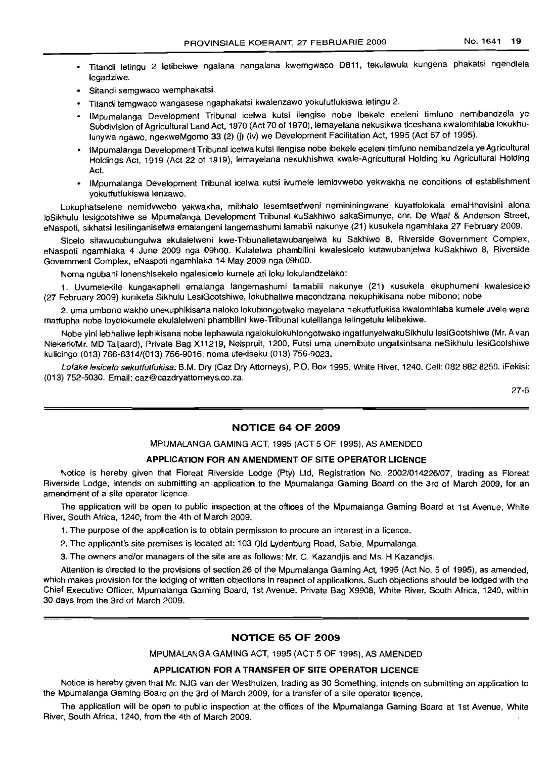- <sup>o</sup> Titandi letingu 2 letibekwe ngalana nangalana kwemgwaco D811, tekulawula kungena phakatsi ngendlela legadziwe.
- Sitandi semgwaco wemphakatsi.
- <sup>o</sup> Titandi temgwaco wangasese ngaphakatsi kwalenzawo yokufutfukiswa letingu 2.
- · IMpumalanga Development Tribunal icelwa kutsi ilengise nobe ibekele eceleni timfuno nemibandzela ve Subdivision of Agricultural Land Act, 1970 (Act 70 of 1970), lemayelana nekusikwa ticeshana kwalomhlaba lokukhulunywa ngawo, ngekweMgomo 33 (2) (j) (iv) we Development Facilitation Act, 1995 (Act 67 of 1995).
- · IMpumalanga Development Tribunal icelwa kutsi ilengise nobe ibekele eceleni timfuno nemibandzela ye Agricultural Holdings Act, 1919 (Act 22 of 1919), lemayelana nekukhishwa kwale-Agricultural Holding ku Agricultural Holding Act.
- IMpumalanga Development Tribunal icelwa kutsi ivumele lemidvwebo yekwakha ne conditions of establishment yokutfutfukiswa lenzawo.

Lokuphatselene nemidvwebo yekwakha, mibhalo lesemtsetfweni nemininingwane kuyatfolokala emaHhovisini alona loSikhulu lesigcotshiwe se Mpumalanga Development Tribunal kuSakhiwo sakaSimunye, cor. De Waal & Anderson Street, eNaspoti, sikhatsi lesilinganiselwa emalangeni langemashumi lamabili nakunye (21) kusukela ngamhlaka 27 February 2009.

Sicelo sitawucubungulwa ekulalelweni kwe-Tribunalletawubanjelwa ku Sakhiwo 8, Riverside Government Complex, eNaspoti ngamhlaka 4 June 2009 nga 09hOO. Kulalelwa phambilini kwalesicelo kutawubanjelwa kuSakhiwo 8, Riverside Government Complex, eNaspoti ngamhlaka 14 May 2009 nga 09hOO.

Noma ngubani lonenshisekelo ngalesicelo kumele ati loku lokulandzelako:

1. Uvumelekile kungakapheli emalanga langemashumi lamabili nakunye (21) kusukela ekuphumeni kwalesicelo (27 February 2009) kuniketa Sikhulu LesiGcotshiwe, lokubhaliwe macondzana nekuphikisana nobe mibono; nobe

2. uma umbono wakho unekuphikisana naloko lokuhlongotwako mayelana nekutfutfukisa kwalomhlaba kumele uvele wena matfupha nobe loyolokumele ekulalelweni phambilini kwe-Tribunal kulelilanqa lelingetulu lelibekiwe.

Nobe yini lebhaliwe lephikisana nobe lephawula ngalokulokuhlongotwako ingatfunyelwakuSikhulu lesiGcotshiwe (Mr. A van NiekerklMr. MD Taljaard), Private Bag X11219, Nelspruit, 1200, Futsi uma unemibuto ungatsintsana neSikhulu lesiGcotshiwe kulicingo (013) 766-6314/(013) 756-9016, noma ufekiseku (013) 756-9023.

Lofake lesicelo sekutfutfukisa: B.M. Dry (Caz Dry Attorneys), P.O. Box 1995, White River, 1240. Cell: 082 882 8250. iFekisi: (013) 752-5030. Email: caz@cazdryattorneys.co.za.

27-6

## **NOTICE 64 OF 2009**

MPUMALANGA GAMING ACT, 1995 (ACT 5 OF 1995), AS AMENDED

#### **APPLICATION FOR AN AMENDMENT OF SITE OPERATOR LICENCE**

Notice is hereby given that Floreat Riverside Lodge (Pty) Ltd, Registration No. 2002/014226/07, trading as Floreat Riverside Lodge, intends on submitting an application to the Mpumalanga Gaming Board on the 3rd of March 2009, for an amendment of a site operator licence.

The application will be open to public inspection at the offices of the Mpumalanga Gaming Board at 1st Avenue, White River, South Africa, 1240, from the 4th of March 2009.

1. The purpose of the application is to obtain permission to procure an interest in a licence.

2. The applicant's site premises is located at: 103 Old Lydenburg Road, Sabie, Mpumalanga.

3. The owners and/or managers of the site are as follows: Mr. C. Kazandjis and Ms. H Kazandjis.

Attention is directed to the provisions of section 26 of the Mpumalanga Gaming Act, 1995 (Act No. 5 of 1995), as amended, which makes provision for the lodging of written objections in respect of applications. Such objections should be lodged with the Chief Executive Officer, Mpumalanga Gaming Board, 1st Avenue, Private Bag X9908, White River, South Africa, 1240, within 30 days from the 3rd of March 2009.

## **NOTICE 65 OF 2009**

MPUMALANGA GAMING ACT, 1995 (ACT 5 OF 1995), AS AMENDED

#### **APPLICATION FOR A TRANSFER OF SITE OPERATOR LICENCE**

Notice is hereby given that Mr. NJG van der Westhuizen, trading as 30 Something, intends on submitting an application to the Mpumalanga Gaming Board on the 3rd of March 2009, for a transfer of a site operator licence.

The application will be open to public inspection at the offices of the Mpumalanga Gaming Board at 1st Avenue, White River, South Africa, 1240, from the 4th of March 2009.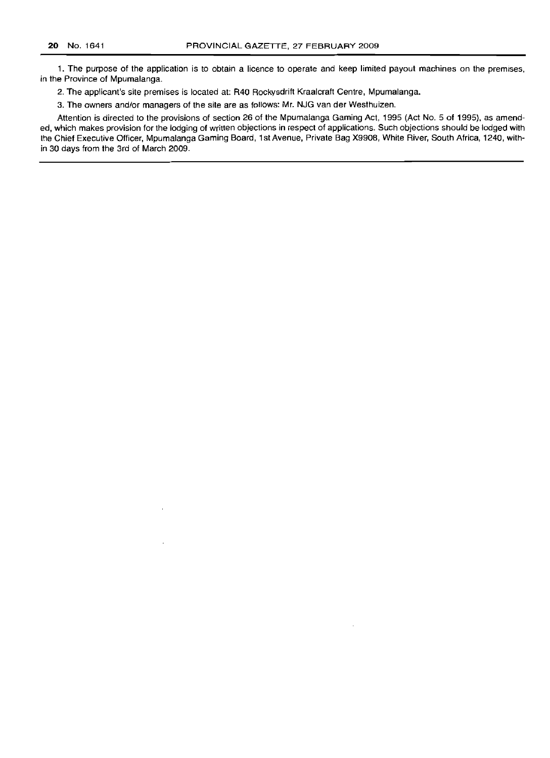1. The purpose of the application is to obtain a licence to operate and keep limited payout machines on the premises, in the Province of Mpumalanga.

2. The applicant's site premises is located at: R40 Rockysdrift Kraalcraft Centre, Mpumalanga.

3. The owners and/or managers of the site are as follows: Mr. NJG van der Westhuizen.

Attention is directed to the provisions of section 26 of the Mpumalanga Gaming Act, 1995 (Act No. 5 of 1995), as amended, which makes provision for the lodging of written objections in respect of applications. Such objections should be lodged with the Chief Executive Officer, Mpumalanga Gaming Board, 1st Avenue, Private Bag X9908, White River, South Africa, 1240, within 30 days from the 3rd of March 2009.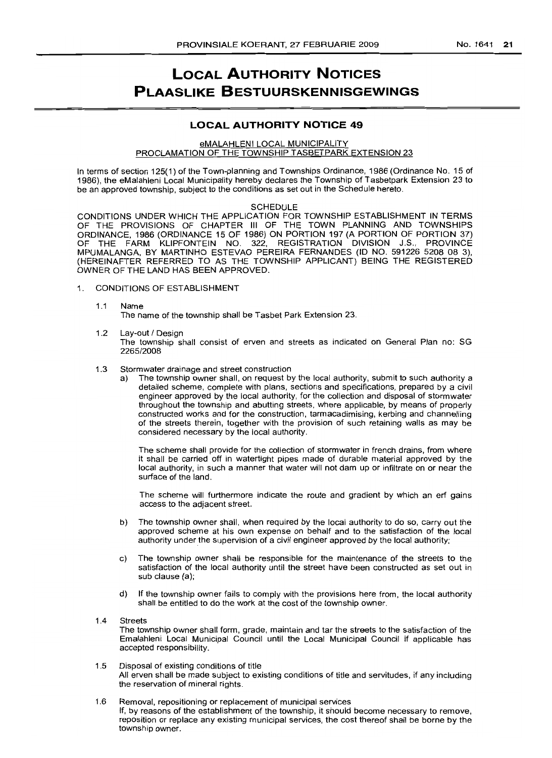# **LOCAL AUTHORITY NOTICES PLAASLIKE BESTUURSKENNISGEWINGS**

## **LOCAL AUTHORITY NOTICE 49**

#### eMALAHLENI LOCAL MUNICIPALITY PROCLAMATION OF THE TOWNSHIP TASBETPARK EXTENSION 23

In terms of section 125(1) of the Town-planning and Townships Ordinance, 1986 (Ordinance No. 15 of 1986), the eMalahleni Local Municipality hereby declares the Township of Tasbetpark Extension 23 to be an approved township, subject to the conditions as set out in the Schedule hereto.

#### SCHEDULE

CONDITIONS UNDER WHICH THE APPLICATION FOR TOWNSHIP ESTABLISHMENT IN TERMS OF THE PROVISIONS OF CHAPTER III OF THE TOWN PLANNING AND TOWNSHIPS ORDINANCE, 1986 (ORDINANCE 15 OF 1986) ON PORTION 197 (A PORTION OF PORTION 37) OF THE FARM KLiPFONTEIN NO. 322, REGISTRATION DIVISION J.S., PROVINCE MPUMALANGA, BY MARTINHO ESTEVAO PEREIRA FERNANDES (10 NO. 591226 5208 08 3), (HEREINAFTER REFERRED TO AS THE TOWNSHIP APPLICANT) BEING THE REGISTERED OWNER OF THE LAND HAS BEEN APPROVED.

- 1. CONDITIONS OF ESTABLISHMENT
	- 1.1 Name The name of the township shall be Tasbet Park Extension 23.
	- 1.2 Lay-out / Design The township shall consist of erven and streets as indicated on General Plan no: SG *2265/2008*
	- 1.3 Stormwater drainage and street construction
		- a) The township owner shall, on request by the local authority, submit to such authority a detailed scheme, complete with plans, sections and specifications, prepared by a civil engineer approved by the local authority, for the collection and disposal of stormwater throughout the township and abutting streets, where applicable, by means of properly constructed works and for the construction, tarmacadimising, kerbing and channelling of the streets therein, together with the provision of such retaining walls as may be considered necessary by the local authority.

The scheme shall provide for the collection of stormwater in french drains, from where it shall be carried off in watertight pipes made of durable material approved by the local authority, in such a manner that water will not dam up or infiltrate on or near the surface of the land.

The scheme will furthermore indicate the route and gradient by which an erf gains access to the adjacent street.

- b) The township owner shall, when required by the local authority to do so, carry out the approved scheme at his own expense on behalf and to the satisfaction of the local authority under the supervision of a civil engineer approved by the local authority;
- c) The township owner shall be responsible for the maintenance of the streets to the satisfaction of the local authority until the street have been constructed as set out in sub clause (a);
- d) If the township owner fails to comply with the provisions here from, the local authority shall be entitled to do the work at the cost of the township owner.
- 1.4 Streets The township owner shall form, grade, maintain and tar the streets to the satisfaction of the Emalahleni Local Municipal Council until the Local Municipal Council if applicable has accepted responsibility.
- 1.5 Disposal of existing conditions of title All erven shall be made SUbject to existing conditions of title and servitudes, if any including the reservation of mineral rights.
- 1.6 Removal, repositioning or replacement of municipal services If, by reasons of the establishment of the township, it should become necessary to remove, reposition or replace any existing municipal services, the cost thereof shall be borne by the township owner.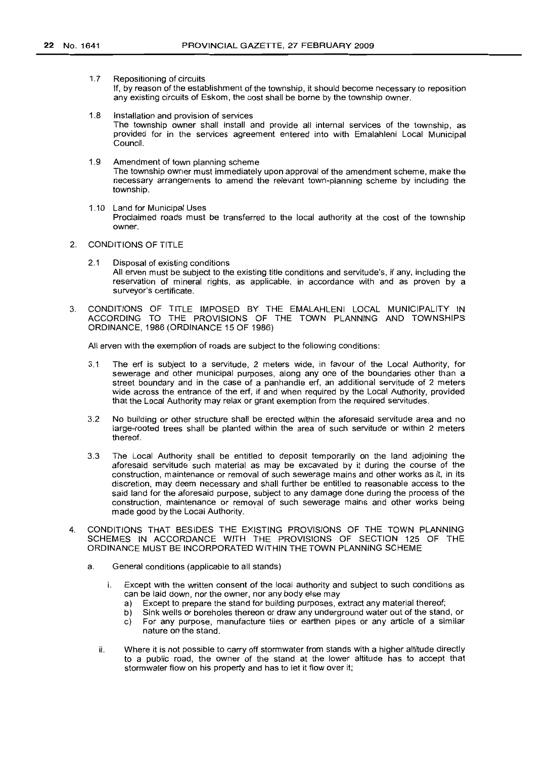1.7 Repositioning of circuits

If, by reason of the establishment of the township, it should become necessary to reposition any existing circuits of Eskom, the cost shall be borne by the township owner.

- 1.8 Installation and provision of services The township owner shall install and provide all internal services of the township, as provided for in the services agreement entered into with Emalahleni Local Municipal Council.
- 1.9 Amendment of town planning scheme The township owner must immediately upon approval of the amendment scheme, make the necessary arrangements to amend the relevant town-planning scheme by including the township.
- 1.10 Land for Municipal Uses Proclaimed roads must be transferred to the local authority at the cost of the township owner.
- 2. CONDITIONS OF TITLE
	- 2.1 Disposal of existing conditions All erven must be subject to the existinq title conditions and servitude's, if any, including the reservation of mineral rights, as applicable, in accordance with and as proven by a surveyor's certificate.
- 3. CONDITIONS OF TITLE IMPOSED BY THE EMALAHLENI LOCAL MUNICIPALITY IN ACCORDING TO THE PROVISIONS OF THE TOWN PLANNING AND TOWNSHIPS ORDINANCE, 1986 (ORDINANCE 15 OF 1986)

All erven with the exemption of roads are subject to the following conditions:

- 3.1 The erf is SUbject to a servitude, 2 meters wide, in favour of the Local Authority, for sewerage and other municipal purposes, along anyone of the boundaries other than a street boundary and in the case of a panhandle erf, an additional servitude of 2 meters wide across the entrance of the erf, if and when required by the Local Authority, provided that the Local Authority may relax or grant exemption from the required servitudes.
- 3.2 No building or other structure shall be erected within the aforesaid servitude area and no large-rooted trees shall be planted within the area of such servitude or within 2 meters thereof.
- 3.3 The Local Authority shall be entitled to deposit temporarily on the land adjoining the aforesaid servitude such material as may be excavated by it during the course of the construction, maintenance or removal of such sewerage mains and other works as it, in its discretion, may deem necessary and shall further be entitled to reasonable access to the said land for the aforesaid purpose, subject to any damage done during the process of the construction, maintenance or removal of such sewerage mains and other works being made good by the Local Authority. .
- 4. CONDITIONS THAT BESIDES THE EXISTING PROVISIONS OF THE TOWN PLANNING SCHEMES IN ACCORDANCE WITH THE PROVISIONS OF SECTION 125 OF THE ORDINANCE MUST BE INCORPORATED WITHIN THE TOWN PLANNING SCHEME
	- a. General conditions (applicable to all stands)
		- i. Except with the written consent of the local authority and subject to such conditions as can be laid down, nor the owner, nor any body else may
			- a) Except to prepare the stand for building purposes, extract any material thereof;
			- b) Sink wells or boreholes thereon or draw any underground water out of the stand, or c) For any purpose, manufacture tiles or earthen pipes or any article of a similar nature on the stand.
		- ii. Where it is not possible to carry off stormwater from stands with a higher altitude directly to a public road, the owner of the stand at the lower altitude has to accept that storm water flow on his property and has to let it flow over it;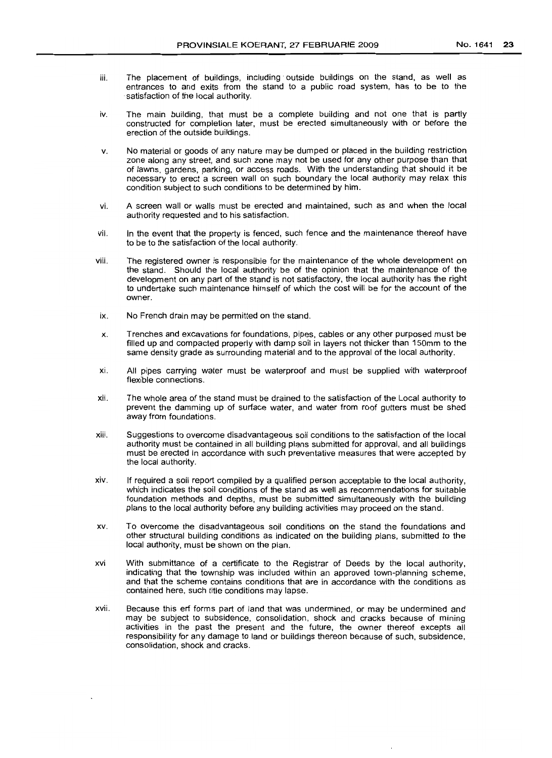- 
- iii. The placement of buildings, including· outside buildings on the stand, as well as entrances to and exits from the stand to a public road system, has to be to the satisfaction of the local authority.
- iv. The main building, that must be a complete building and not one that is partly constructed for completion later, must be erected simultaneously with or before the erection of the outside buildings.
- v. No material or goods of any nature may be dumped or placed in the building restriction zone along any street, and such zone may not be used for any other purpose than that of lawns, gardens, parking, or access roads. With the understanding that should it be necessary to erect a screen wall on such boundary the local authority may relax this condition subject to such conditions to be determined by him.
- vi. A screen wall or walls must be erected and maintained, such as and when the local authority requested and to his satisfaction.
- vii. In the event that the property is fenced, such fence and the maintenance thereof have to be to the satisfaction of the local authority.
- viii. The registered owner is responsible for the maintenance of the whole development on the stand. Should the local authority be of the opinion that the maintenance of the development on any part of the stand is not satisfactory, the local authority has the right to undertake such maintenance himself of which the cost will be for the account of the owner.
- ix. No French drain may be permitted on the stand.
- x. Trenches and excavations for foundations, pipes, cables or any other purposed must be filled up and compacted properly with damp soil in layers not thicker than 150mm to the same density grade as surrounding material and to the approval of the local authority.
- xi. All pipes carrying water must be waterproof and must be supplied with waterproof flexible connections.
- xii. The whole area of the stand must be drained to the satisfaction of the Local authority to prevent the damming up of surface water, and water from roof gutters must be shed away from foundations.
- xiii. Suggestions to overcome disadvantageous soil conditions to the satisfaction of the local authority must be contained in all building plans submitted for approval, and all buildings must be erected in accordance with such preventative measures that were accepted by the local authority.
- xiv. If required a soil report compiled by a qualified person acceptable to the local authority, which indicates the soil conditions of the stand as well as recommendations for suitable foundation methods and depths, must be submitted simultaneously with the building plans to the local authority before any building activities may proceed on the stand.
- xv. To overcome the disadvantageous soil conditions on the stand the foundations and other structural building conditions as indicated on the building plans, submitted to the local authority, must be shown on the plan.
- xvi With submittance of a certificate to the Registrar of Deeds by the local authority, indicating that the township was included within an approved town-planning scheme, and that the scheme contains conditions that are in accordance with the conditions as contained here, such title conditions may lapse.
- xvii. Because this erf forms part of land that was undermined, or may be undermined and may be subject to subsidence, consolidation, shock and cracks because of mining activities in the past the present and the future, the owner thereof excepts all responsibility for any damage to land or buildings thereon because of such, subsidence, consolidation, shock and cracks.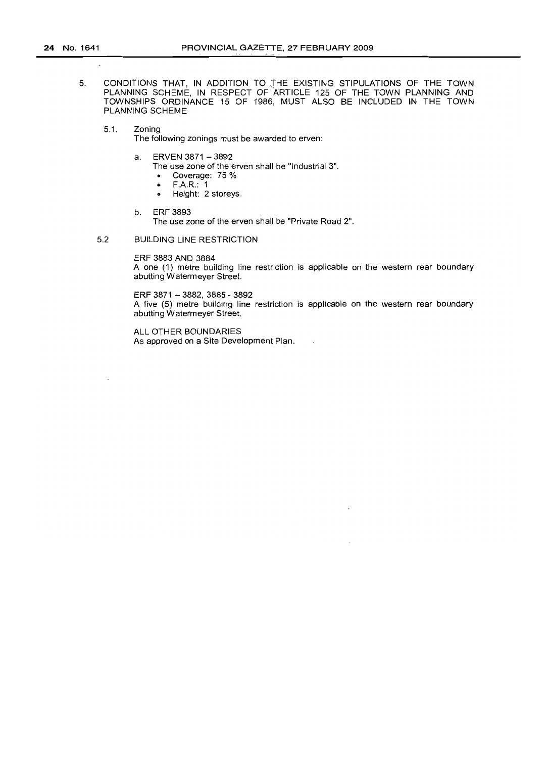- 5. CONDITIONS THAT, IN ADDITION TO THE EXISTING STIPULATIONS OF THE TOWN PLANNING SCHEME, IN RESPECT OF ARTICLE 125 OF THE TOWN PLANNING AND TOWNSHIPS ORDINANCE 15 OF 1986, MUST ALSO BE INCLUDED IN THE TOWN PLANNING SCHEME
	- 5,1. Zoning

The following zonings must be awarded to erven:

- a. ERVEN 3871 3892
	- The use zone of the erven shall be "Industrial 3",
	- Coverage:  $75\%$ <br>• F.A.R.: 1
	- FAR.: 1
	- Height: 2 storeys.
- b. ERF 3893

The use zone of the erven shall be "Private Road 2".

5.2 BUILDING LINE RESTRICTION

ERF 3883 AND 3884

A one (1) metre building line restriction is applicable on the western rear boundary abutting Watermeyer Street.

ERF 3871 - 3882, 3885 - 3892

A five (5) metre building line restriction is applicable on the western rear boundary abutting Watermeyer Street.

 $\ddot{\phantom{a}}$ 

ALL OTHER BOUNDARIES As approved on a Site Development Plan,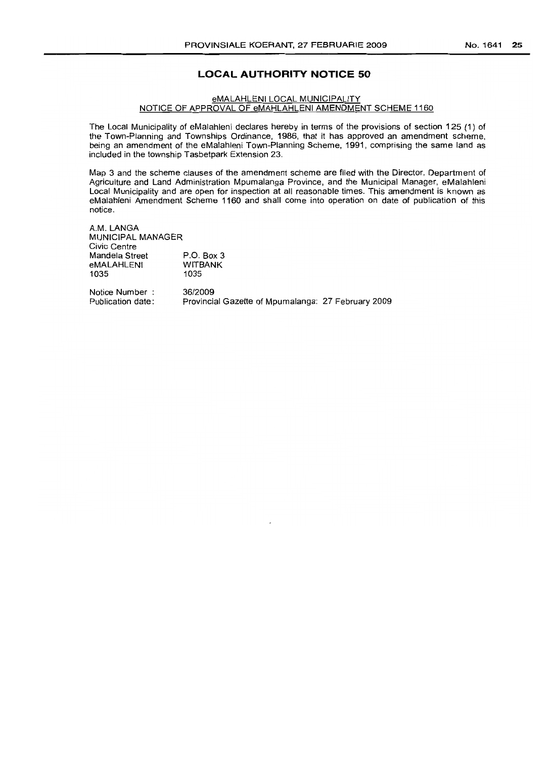## **LOCAL AUTHORITY NOTICE 50**

#### eMALAHLENI LOCAL MUNICIPALITY NOTICE OF APPROVAL OF eMAHLAHLENI AMENDMENT SCHEME 1160

The Local Municipality of eMalahleni declares hereby in terms of the provisions of section 125 (1) of the Town-Planning and Townships Ordinance, 1986, that it has approved an amendment scheme, being an amendment of the eMalahleni Town-Planning Scheme, 1991, comprising the same land as included in the township Tasbetpark Extension 23.

Map 3 and the scheme clauses of the amendment scheme are filed with the Director, Department of Agriculture and Land Administration Mpumalanga Province, and the Municipal Manager, eMalahleni Local Municipality and are open for inspection at all reasonable times. This amendment is known as eMalahleni Amendment Scheme 1160 and shall come into operation on date of publication of this notice.

A.M. LANGA MUNICIPAL MANAGER Civic Centre Mandela Street eMALAHLENI 1035 P.O. Box 3 WITBANK 1035

Notice Number Publication date:

36/2009 Provincial Gazette of Mpumalanga: 27 February 2009